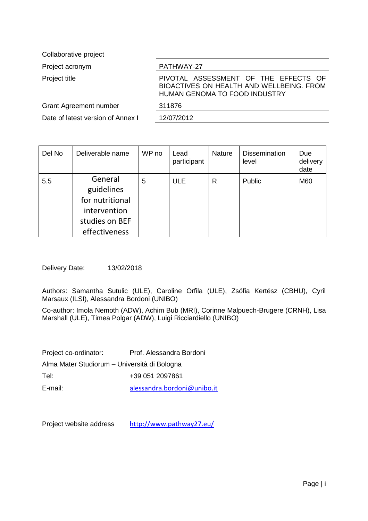Collaborative project

Project acronym PATHWAY-27

Project title **PIVOTAL ASSESSMENT OF THE EFFECTS OF** BIOACTIVES ON HEALTH AND WELLBEING. FROM HUMAN GENOMA TO FOOD INDUSTRY Grant Agreement number 311876 Date of latest version of Annex I 12/07/2012

| Del No | Deliverable name                                                                            | WP no | Lead<br>participant | <b>Nature</b> | <b>Dissemination</b><br>level | Due<br>delivery<br>date |
|--------|---------------------------------------------------------------------------------------------|-------|---------------------|---------------|-------------------------------|-------------------------|
| 5.5    | General<br>guidelines<br>for nutritional<br>intervention<br>studies on BEF<br>effectiveness | 5     | <b>ULE</b>          | R             | Public                        | M60                     |

Delivery Date: 13/02/2018

Authors: Samantha Sutulic (ULE), Caroline Orfila (ULE), Zsófia Kertész (CBHU), Cyril Marsaux (ILSI), Alessandra Bordoni (UNIBO)

Co-author: Imola Nemoth (ADW), Achim Bub (MRI), Corinne Malpuech-Brugere (CRNH), Lisa Marshall (ULE), Timea Polgar (ADW), Luigi Ricciardiello (UNIBO)

| Project co-ordinator:                        | Prof. Alessandra Bordoni    |
|----------------------------------------------|-----------------------------|
| Alma Mater Studiorum - Università di Bologna |                             |
| Tel:                                         | +39 051 2097861             |
| E-mail:                                      | alessandra.bordoni@unibo.it |

Project website address <http://www.pathway27.eu/>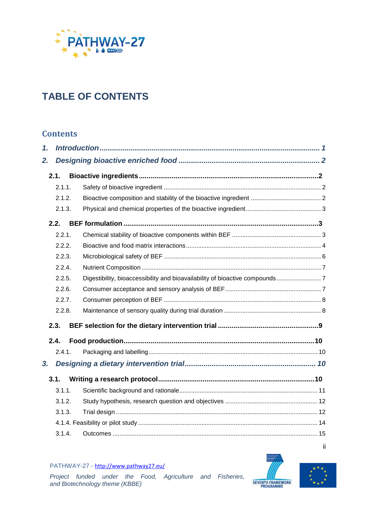

# **TABLE OF CONTENTS**

## **Contents**

| 1. |        |  |
|----|--------|--|
| 2. |        |  |
|    | 2.1.   |  |
|    | 2.1.1. |  |
|    | 2.1.2. |  |
|    | 2.1.3. |  |
|    | 2.2.   |  |
|    | 2.2.1. |  |
|    | 2.2.2. |  |
|    | 2.2.3. |  |
|    | 2.2.4. |  |
|    | 2.2.5. |  |
|    | 2.2.6. |  |
|    | 2.2.7. |  |
|    | 2.2.8. |  |
|    | 2.3.   |  |
|    | 2.4.   |  |
|    | 2.4.1. |  |
| 3. |        |  |
|    | 3.1.   |  |
|    | 3.1.1. |  |
|    | 3.1.2. |  |
|    | 3.1.3. |  |
|    |        |  |
|    | 3.1.4. |  |





ii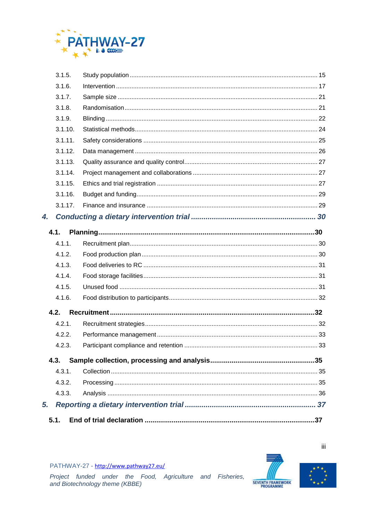

|    | 3.1.5.  |     |
|----|---------|-----|
|    | 3.1.6.  |     |
|    | 3.1.7.  |     |
|    | 3.1.8.  |     |
|    | 3.1.9.  |     |
|    | 3.1.10. |     |
|    | 3.1.11. |     |
|    | 3.1.12. |     |
|    | 3.1.13. |     |
|    | 3.1.14. |     |
|    | 3.1.15. |     |
|    | 3.1.16. |     |
|    | 3.1.17. |     |
| 4. |         |     |
|    | 4.1.    |     |
|    | 4.1.1.  |     |
|    | 4.1.2.  |     |
|    | 4.1.3.  |     |
|    | 4.1.4.  |     |
|    | 4.1.5.  |     |
|    | 4.1.6.  |     |
|    | 4.2.    |     |
|    | 4.2.1.  |     |
|    | 4.2.2.  |     |
|    | 4.2.3.  |     |
|    | 4.3.    |     |
|    | 4.3.1.  |     |
|    | 4.3.2.  |     |
|    | 4.3.3.  |     |
| 5. |         |     |
|    | 5.1.    | .37 |
|    |         |     |





iii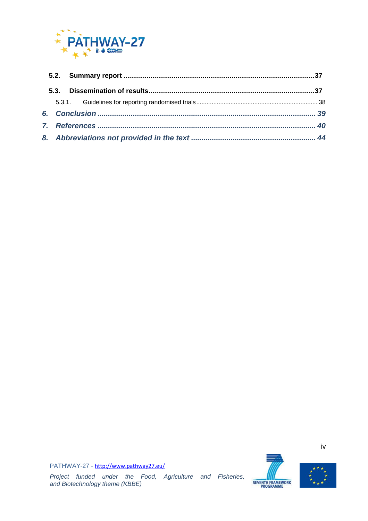





iv

PATHWAY-27 - <http://www.pathway27.eu/>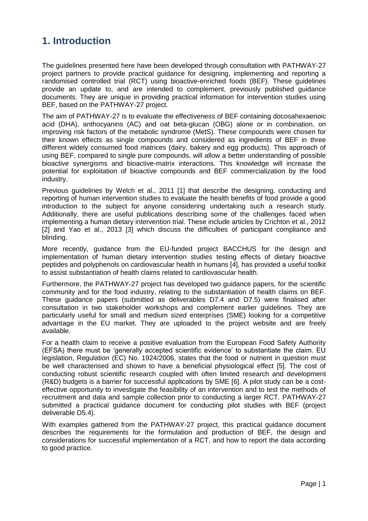# <span id="page-4-0"></span>**1. Introduction**

The guidelines presented here have been developed through consultation with PATHWAY-27 project partners to provide practical guidance for designing, implementing and reporting a randomised controlled trial (RCT) using bioactive-enriched foods (BEF). These guidelines provide an update to, and are intended to complement, previously published guidance documents. They are unique in providing practical information for intervention studies using BEF, based on the PATHWAY-27 project.

The aim of PATHWAY-27 is to evaluate the effectiveness of BEF containing docosahexaenoic acid (DHA), anthocyanins (AC) and oat beta-glucan (OBG) alone or in combination, on improving risk factors of the metabolic syndrome (MetS). These compounds were chosen for their known effects as single compounds and considered as ingredients of BEF in three different widely consumed food matrices (dairy, bakery and egg products). This approach of using BEF, compared to single pure compounds, will allow a better understanding of possible bioactive synergisms and bioactive-matrix interactions. This knowledge will increase the potential for exploitation of bioactive compounds and BEF commercialization by the food industry.

Previous guidelines by Welch et al., 2011 [1] that describe the designing, conducting and reporting of human intervention studies to evaluate the health benefits of food provide a good introduction to the subject for anyone considering undertaking such a research study. Additionally, there are useful publications describing some of the challenges faced when implementing a human dietary intervention trial. These include articles by Crichton et al., 2012 [2] and Yao et al., 2013 [3] which discuss the difficulties of participant compliance and blinding.

More recently, guidance from the EU-funded project BACCHUS for the design and implementation of human dietary intervention studies testing effects of dietary bioactive peptides and polyphenols on cardiovascular health in humans [4], has provided a useful toolkit to assist substantiation of health claims related to cardiovascular health.

Furthermore, the PATHWAY-27 project has developed two guidance papers, for the scientific community and for the food industry, relating to the substantiation of health claims on BEF. These guidance papers (submitted as deliverables D7.4 and D7.5) were finalised after consultation in two stakeholder workshops and complement earlier guidelines. They are particularly useful for small and medium sized enterprises (SME) looking for a competitive advantage in the EU market. They are uploaded to the project website and are freely available.

For a health claim to receive a positive evaluation from the European Food Safety Authority (EFSA) there must be 'generally accepted scientific evidence' to substantiate the claim. EU legislation, Regulation (EC) No. 1924/2006, states that the food or nutrient in question must be well characterised and shown to have a beneficial physiological effect [5]. The cost of conducting robust scientific research coupled with often limited research and development (R&D) budgets is a barrier for successful applications by SME [6]. A pilot study can be a costeffective opportunity to investigate the feasibility of an intervention and to test the methods of recruitment and data and sample collection prior to conducting a larger RCT. PATHWAY-27 submitted a practical guidance document for conducting pilot studies with BEF (project deliverable D5.4).

With examples gathered from the PATHWAY-27 project, this practical guidance document describes the requirements for the formulation and production of BEF, the design and considerations for successful implementation of a RCT, and how to report the data according to good practice.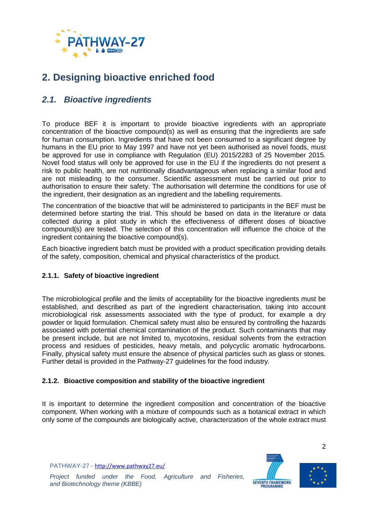

# <span id="page-5-0"></span>**2. Designing bioactive enriched food**

## <span id="page-5-1"></span>*2.1. Bioactive ingredients*

To produce BEF it is important to provide bioactive ingredients with an appropriate concentration of the bioactive compound(s) as well as ensuring that the ingredients are safe for human consumption. Ingredients that have not been consumed to a significant degree by humans in the EU prior to May 1997 and have not yet been authorised as novel foods, must be approved for use in compliance with Regulation (EU) 2015/2283 of 25 November 2015. Novel food status will only be approved for use in the EU if the ingredients do not present a risk to public health, are not nutritionally disadvantageous when replacing a similar food and are not misleading to the consumer. Scientific assessment must be carried out prior to authorisation to ensure their safety. The authorisation will determine the conditions for use of the ingredient, their designation as an ingredient and the labelling requirements.

The concentration of the bioactive that will be administered to participants in the BEF must be determined before starting the trial. This should be based on data in the literature or data collected during a pilot study in which the effectiveness of different doses of bioactive compound(s) are tested. The selection of this concentration will influence the choice of the ingredient containing the bioactive compound(s).

Each bioactive ingredient batch must be provided with a product specification providing details of the safety, composition, chemical and physical characteristics of the product.

## <span id="page-5-2"></span>**2.1.1. Safety of bioactive ingredient**

The microbiological profile and the limits of acceptability for the bioactive ingredients must be established, and described as part of the ingredient characterisation, taking into account microbiological risk assessments associated with the type of product, for example a dry powder or liquid formulation. Chemical safety must also be ensured by controlling the hazards associated with potential chemical contamination of the product. Such contaminants that may be present include, but are not limited to, mycotoxins, residual solvents from the extraction process and residues of pesticides, heavy metals, and polycyclic aromatic hydrocarbons. Finally, physical safety must ensure the absence of physical particles such as glass or stones. Further detail is provided in the Pathway-27 guidelines for the food industry.

#### <span id="page-5-3"></span>**2.1.2. Bioactive composition and stability of the bioactive ingredient**

It is important to determine the ingredient composition and concentration of the bioactive component. When working with a mixture of compounds such as a botanical extract in which only some of the compounds are biologically active, characterization of the whole extract must

PATHWAY-27 - <http://www.pathway27.eu/>





2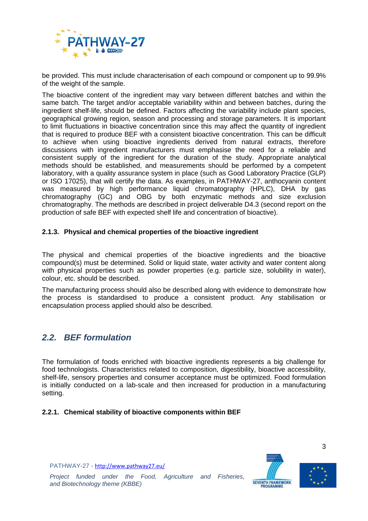

be provided. This must include characterisation of each compound or component up to 99.9% of the weight of the sample.

The bioactive content of the ingredient may vary between different batches and within the same batch. The target and/or acceptable variability within and between batches, during the ingredient shelf-life, should be defined. Factors affecting the variability include plant species, geographical growing region, season and processing and storage parameters. It is important to limit fluctuations in bioactive concentration since this may affect the quantity of ingredient that is required to produce BEF with a consistent bioactive concentration. This can be difficult to achieve when using bioactive ingredients derived from natural extracts, therefore discussions with ingredient manufacturers must emphasise the need for a reliable and consistent supply of the ingredient for the duration of the study. Appropriate analytical methods should be established, and measurements should be performed by a competent laboratory, with a quality assurance system in place (such as Good Laboratory Practice (GLP) or ISO 17025), that will certify the data. As examples, in PATHWAY-27, anthocyanin content was measured by high performance liquid chromatography (HPLC), DHA by gas chromatography (GC) and OBG by both enzymatic methods and size exclusion chromatography. The methods are described in project deliverable D4.3 (second report on the production of safe BEF with expected shelf life and concentration of bioactive).

#### <span id="page-6-0"></span>**2.1.3. Physical and chemical properties of the bioactive ingredient**

The physical and chemical properties of the bioactive ingredients and the bioactive compound(s) must be determined. Solid or liquid state, water activity and water content along with physical properties such as powder properties (e.g. particle size, solubility in water), colour, etc. should be described.

The manufacturing process should also be described along with evidence to demonstrate how the process is standardised to produce a consistent product. Any stabilisation or encapsulation process applied should also be described.

## <span id="page-6-1"></span>*2.2. BEF formulation*

The formulation of foods enriched with bioactive ingredients represents a big challenge for food technologists. Characteristics related to composition, digestibility, bioactive accessibility, shelf-life, sensory properties and consumer acceptance must be optimized. Food formulation is initially conducted on a lab-scale and then increased for production in a manufacturing setting.

#### <span id="page-6-2"></span>**2.2.1. Chemical stability of bioactive components within BEF**

PATHWAY-27 - <http://www.pathway27.eu/>





*Project funded under the Food, Agriculture and Fisheries, and Biotechnology theme (KBBE)*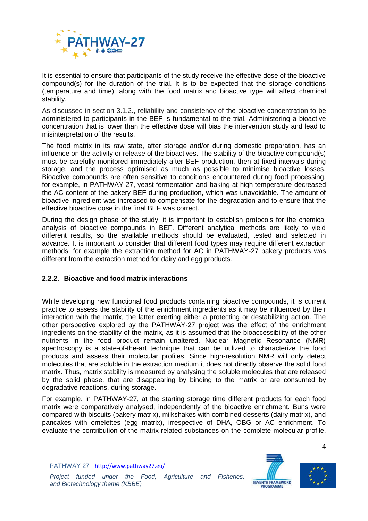

It is essential to ensure that participants of the study receive the effective dose of the bioactive compound(s) for the duration of the trial. It is to be expected that the storage conditions (temperature and time), along with the food matrix and bioactive type will affect chemical stability.

As discussed in section 3.1.2., reliability and consistency of the bioactive concentration to be administered to participants in the BEF is fundamental to the trial. Administering a bioactive concentration that is lower than the effective dose will bias the intervention study and lead to misinterpretation of the results.

The food matrix in its raw state, after storage and/or during domestic preparation, has an influence on the activity or release of the bioactives. The stability of the bioactive compound(s) must be carefully monitored immediately after BEF production, then at fixed intervals during storage, and the process optimised as much as possible to minimise bioactive losses. Bioactive compounds are often sensitive to conditions encountered during food processing, for example, in PATHWAY-27, yeast fermentation and baking at high temperature decreased the AC content of the bakery BEF during production, which was unavoidable. The amount of bioactive ingredient was increased to compensate for the degradation and to ensure that the effective bioactive dose in the final BEF was correct.

During the design phase of the study, it is important to establish protocols for the chemical analysis of bioactive compounds in BEF. Different analytical methods are likely to yield different results, so the available methods should be evaluated, tested and selected in advance. It is important to consider that different food types may require different extraction methods, for example the extraction method for AC in PATHWAY-27 bakery products was different from the extraction method for dairy and egg products.

#### <span id="page-7-0"></span>**2.2.2. Bioactive and food matrix interactions**

While developing new functional food products containing bioactive compounds, it is current practice to assess the stability of the enrichment ingredients as it may be influenced by their interaction with the matrix, the latter exerting either a protecting or destabilizing action. The other perspective explored by the PATHWAY-27 project was the effect of the enrichment ingredients on the stability of the matrix, as it is assumed that the bioaccessibility of the other nutrients in the food product remain unaltered. Nuclear Magnetic Resonance (NMR) spectroscopy is a state-of-the-art technique that can be utilized to characterize the food products and assess their molecular profiles. Since high-resolution NMR will only detect molecules that are soluble in the extraction medium it does not directly observe the solid food matrix. Thus, matrix stability is measured by analysing the soluble molecules that are released by the solid phase, that are disappearing by binding to the matrix or are consumed by degradative reactions, during storage.

For example, in PATHWAY-27, at the starting storage time different products for each food matrix were comparatively analysed, independently of the bioactive enrichment. Buns were compared with biscuits (bakery matrix), milkshakes with combined desserts (dairy matrix), and pancakes with omelettes (egg matrix), irrespective of DHA, OBG or AC enrichment. To evaluate the contribution of the matrix-related substances on the complete molecular profile,

PATHWAY-27 - <http://www.pathway27.eu/>



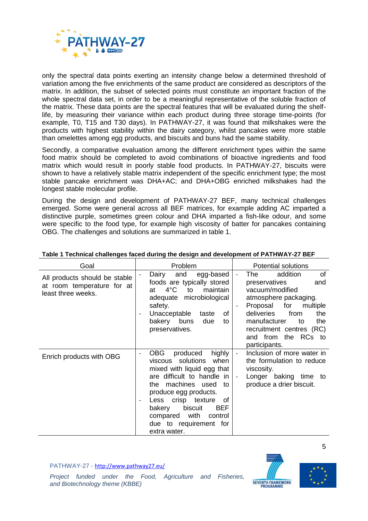

only the spectral data points exerting an intensity change below a determined threshold of variation among the five enrichments of the same product are considered as descriptors of the matrix. In addition, the subset of selected points must constitute an important fraction of the whole spectral data set, in order to be a meaningful representative of the soluble fraction of the matrix. These data points are the spectral features that will be evaluated during the shelflife, by measuring their variance within each product during three storage time-points (for example, T0, T15 and T30 days). In PATHWAY-27, it was found that milkshakes were the products with highest stability within the dairy category, whilst pancakes were more stable than omelettes among egg products, and biscuits and buns had the same stability.

Secondly, a comparative evaluation among the different enrichment types within the same food matrix should be completed to avoid combinations of bioactive ingredients and food matrix which would result in poorly stable food products. In PATHWAY-27, biscuits were shown to have a relatively stable matrix independent of the specific enrichment type; the most stable pancake enrichment was DHA+AC; and DHA+OBG enriched milkshakes had the longest stable molecular profile.

During the design and development of PATHWAY-27 BEF, many technical challenges emerged. Some were general across all BEF matrices, for example adding AC imparted a distinctive purple, sometimes green colour and DHA imparted a fish-like odour, and some were specific to the food type, for example high viscosity of batter for pancakes containing OBG. The challenges and solutions are summarized in table 1.

| Goal                                                                              | Problem                                                                                                                                                                                                                                                                                                              | <b>Potential solutions</b>                                                                                                                                                                                                                          |
|-----------------------------------------------------------------------------------|----------------------------------------------------------------------------------------------------------------------------------------------------------------------------------------------------------------------------------------------------------------------------------------------------------------------|-----------------------------------------------------------------------------------------------------------------------------------------------------------------------------------------------------------------------------------------------------|
| All products should be stable<br>at room temperature for at<br>least three weeks. | Dairy<br>and<br>egg-based<br>foods are typically stored<br>$4^{\circ}$ C<br>maintain<br>to<br>at l<br>adequate microbiological<br>safety.<br>Unacceptable<br>οf<br>taste<br>bakery buns<br>due<br>to<br>preservatives.                                                                                               | of<br>addition<br>The<br>preservatives<br>and<br>vacuum/modified<br>atmosphere packaging.<br>Proposal for<br>multiple<br>deliveries<br>from<br>the<br>manufacturer<br>the<br>to<br>recruitment centres (RC)<br>and from the RCs to<br>participants. |
| Enrich products with OBG                                                          | OBG<br>produced<br>highly<br>solutions<br>when<br>viscous<br>mixed with liquid egg that<br>are difficult to handle in<br>machines used<br>the<br>to<br>produce egg products.<br>Less crisp texture<br>οf<br>biscuit<br><b>BEF</b><br>bakery<br>with<br>compared<br>control<br>due to requirement for<br>extra water. | Inclusion of more water in<br>the formulation to reduce<br>viscosity.<br>Longer baking time to<br>produce a drier biscuit.                                                                                                                          |

#### **Table 1 Technical challenges faced during the design and development of PATHWAY-27 BEF**

PATHWAY-27 - <http://www.pathway27.eu/>



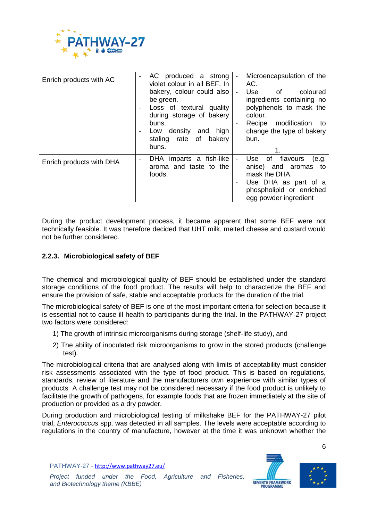

| Enrich products with AC  | AC produced a strong<br>$\overline{\phantom{a}}$<br>violet colour in all BEF. In<br>bakery, colour could also<br>be green.<br>Loss of textural quality<br>during storage of bakery<br>buns.<br>density<br>high<br>and<br>Low<br>$\overline{\phantom{a}}$<br>of<br>bakery<br>staling rate<br>buns. | Microencapsulation of the<br>AC.<br>Use<br>0f<br>coloured<br>$\overline{\phantom{a}}$<br>ingredients containing no<br>polyphenols to mask the<br>colour.<br>modification to<br>Recipe<br>change the type of bakery<br>bun.<br>1. |
|--------------------------|---------------------------------------------------------------------------------------------------------------------------------------------------------------------------------------------------------------------------------------------------------------------------------------------------|----------------------------------------------------------------------------------------------------------------------------------------------------------------------------------------------------------------------------------|
| Enrich products with DHA | DHA imparts a fish-like<br>aroma and taste to the<br>foods.                                                                                                                                                                                                                                       | flavours<br>of<br>Use<br>(e.q.<br>anise) and aromas<br>to:<br>mask the DHA.<br>Use DHA as part of a<br>phospholipid or enriched<br>egg powder ingredient                                                                         |

During the product development process, it became apparent that some BEF were not technically feasible. It was therefore decided that UHT milk, melted cheese and custard would not be further considered.

#### <span id="page-9-0"></span>**2.2.3. Microbiological safety of BEF**

The chemical and microbiological quality of BEF should be established under the standard storage conditions of the food product. The results will help to characterize the BEF and ensure the provision of safe, stable and acceptable products for the duration of the trial.

The microbiological safety of BEF is one of the most important criteria for selection because it is essential not to cause ill health to participants during the trial. In the PATHWAY-27 project two factors were considered:

- 1) The growth of intrinsic microorganisms during storage (shelf-life study), and
- 2) The ability of inoculated risk microorganisms to grow in the stored products (challenge test).

The microbiological criteria that are analysed along with limits of acceptability must consider risk assessments associated with the type of food product. This is based on regulations, standards, review of literature and the manufacturers own experience with similar types of products. A challenge test may not be considered necessary if the food product is unlikely to facilitate the growth of pathogens, for example foods that are frozen immediately at the site of production or provided as a dry powder.

During production and microbiological testing of milkshake BEF for the PATHWAY-27 pilot trial, *Enterococcus* spp. was detected in all samples. The levels were acceptable according to regulations in the country of manufacture, however at the time it was unknown whether the



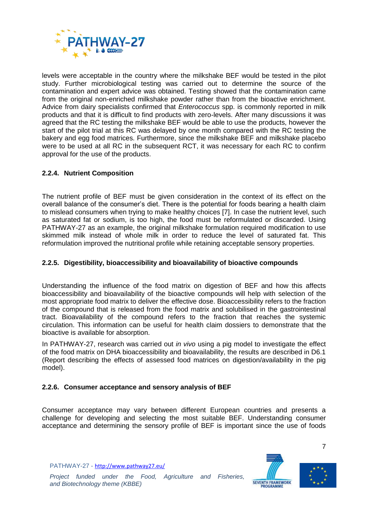

levels were acceptable in the country where the milkshake BEF would be tested in the pilot study. Further microbiological testing was carried out to determine the source of the contamination and expert advice was obtained. Testing showed that the contamination came from the original non-enriched milkshake powder rather than from the bioactive enrichment. Advice from dairy specialists confirmed that *Enterococcus* spp. is commonly reported in milk products and that it is difficult to find products with zero-levels. After many discussions it was agreed that the RC testing the milkshake BEF would be able to use the products, however the start of the pilot trial at this RC was delayed by one month compared with the RC testing the bakery and egg food matrices. Furthermore, since the milkshake BEF and milkshake placebo were to be used at all RC in the subsequent RCT, it was necessary for each RC to confirm approval for the use of the products.

### <span id="page-10-0"></span>**2.2.4. Nutrient Composition**

The nutrient profile of BEF must be given consideration in the context of its effect on the overall balance of the consumer's diet. There is the potential for foods bearing a health claim to mislead consumers when trying to make healthy choices [7]. In case the nutrient level, such as saturated fat or sodium, is too high, the food must be reformulated or discarded. Using PATHWAY-27 as an example, the original milkshake formulation required modification to use skimmed milk instead of whole milk in order to reduce the level of saturated fat. This reformulation improved the nutritional profile while retaining acceptable sensory properties.

#### <span id="page-10-1"></span>**2.2.5. Digestibility, bioaccessibility and bioavailability of bioactive compounds**

Understanding the influence of the food matrix on digestion of BEF and how this affects bioaccessibility and bioavailability of the bioactive compounds will help with selection of the most appropriate food matrix to deliver the effective dose. Bioaccessibility refers to the fraction of the compound that is released from the food matrix and solubilised in the gastrointestinal tract. Bioavailability of the compound refers to the fraction that reaches the systemic circulation. This information can be useful for health claim dossiers to demonstrate that the bioactive is available for absorption.

In PATHWAY-27, research was carried out *in vivo* using a pig model to investigate the effect of the food matrix on DHA bioaccessibility and bioavailability, the results are described in D6.1 (Report describing the effects of assessed food matrices on digestion/availability in the pig model).

#### <span id="page-10-2"></span>**2.2.6. Consumer acceptance and sensory analysis of BEF**

Consumer acceptance may vary between different European countries and presents a challenge for developing and selecting the most suitable BEF. Understanding consumer acceptance and determining the sensory profile of BEF is important since the use of foods

PATHWAY-27 - <http://www.pathway27.eu/>





7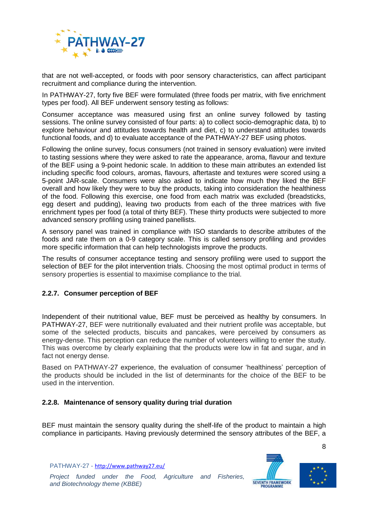

that are not well-accepted, or foods with poor sensory characteristics, can affect participant recruitment and compliance during the intervention.

In PATHWAY-27, forty five BEF were formulated (three foods per matrix, with five enrichment types per food). All BEF underwent sensory testing as follows:

Consumer acceptance was measured using first an online survey followed by tasting sessions. The online survey consisted of four parts: a) to collect socio-demographic data, b) to explore behaviour and attitudes towards health and diet, c) to understand attitudes towards functional foods, and d) to evaluate acceptance of the PATHWAY-27 BEF using photos.

Following the online survey, focus consumers (not trained in sensory evaluation) were invited to tasting sessions where they were asked to rate the appearance, aroma, flavour and texture of the BEF using a 9-point hedonic scale. In addition to these main attributes an extended list including specific food colours, aromas, flavours, aftertaste and textures were scored using a 5-point JAR-scale. Consumers were also asked to indicate how much they liked the BEF overall and how likely they were to buy the products, taking into consideration the healthiness of the food. Following this exercise, one food from each matrix was excluded (breadsticks, egg desert and pudding), leaving two products from each of the three matrices with five enrichment types per food (a total of thirty BEF). These thirty products were subjected to more advanced sensory profiling using trained panellists.

A sensory panel was trained in compliance with ISO standards to describe attributes of the foods and rate them on a 0-9 category scale. This is called sensory profiling and provides more specific information that can help technologists improve the products.

The results of consumer acceptance testing and sensory profiling were used to support the selection of BEF for the pilot intervention trials. Choosing the most optimal product in terms of sensory properties is essential to maximise compliance to the trial.

## <span id="page-11-0"></span>**2.2.7. Consumer perception of BEF**

Independent of their nutritional value, BEF must be perceived as healthy by consumers. In PATHWAY-27, BEF were nutritionally evaluated and their nutrient profile was acceptable, but some of the selected products, biscuits and pancakes, were perceived by consumers as energy-dense. This perception can reduce the number of volunteers willing to enter the study. This was overcome by clearly explaining that the products were low in fat and sugar, and in fact not energy dense.

Based on PATHWAY-27 experience, the evaluation of consumer 'healthiness' perception of the products should be included in the list of determinants for the choice of the BEF to be used in the intervention.

#### <span id="page-11-1"></span>**2.2.8. Maintenance of sensory quality during trial duration**

BEF must maintain the sensory quality during the shelf-life of the product to maintain a high compliance in participants. Having previously determined the sensory attributes of the BEF, a

PATHWAY-27 - <http://www.pathway27.eu/>



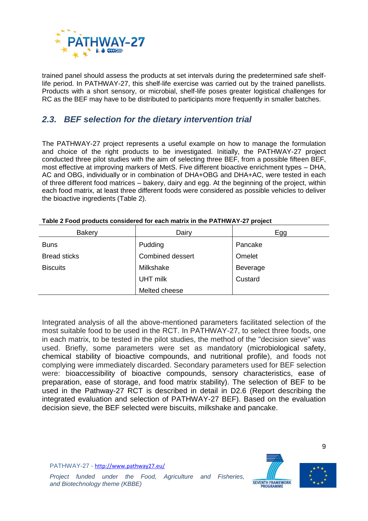

trained panel should assess the products at set intervals during the predetermined safe shelflife period. In PATHWAY-27, this shelf-life exercise was carried out by the trained panellists. Products with a short sensory, or microbial, shelf-life poses greater logistical challenges for RC as the BEF may have to be distributed to participants more frequently in smaller batches.

## <span id="page-12-0"></span>*2.3. BEF selection for the dietary intervention trial*

The PATHWAY-27 project represents a useful example on how to manage the formulation and choice of the right products to be investigated. Initially, the PATHWAY-27 project conducted three pilot studies with the aim of selecting three BEF, from a possible fifteen BEF, most effective at improving markers of MetS. Five different bioactive enrichment types – DHA, AC and OBG, individually or in combination of DHA+OBG and DHA+AC, were tested in each of three different food matrices – bakery, dairy and egg. At the beginning of the project, within each food matrix, at least three different foods were considered as possible vehicles to deliver the bioactive ingredients [\(Table 2\)](#page-12-1).

| <b>Bakery</b>       | Dairy                   | Egg      |
|---------------------|-------------------------|----------|
| <b>Buns</b>         | Pudding                 | Pancake  |
| <b>Bread sticks</b> | <b>Combined dessert</b> | Omelet   |
| <b>Biscuits</b>     | Milkshake               | Beverage |
|                     | <b>UHT milk</b>         | Custard  |
|                     | Melted cheese           |          |

<span id="page-12-1"></span>

| Table 2 Food products considered for each matrix in the PATHWAY-27 project |  |  |  |  |
|----------------------------------------------------------------------------|--|--|--|--|
|                                                                            |  |  |  |  |

Integrated analysis of all the above-mentioned parameters facilitated selection of the most suitable food to be used in the RCT. In PATHWAY-27, to select three foods, one in each matrix, to be tested in the pilot studies, the method of the "decision sieve" was used. Briefly, some parameters were set as mandatory (microbiological safety, chemical stability of bioactive compounds, and nutritional profile), and foods not complying were immediately discarded. Secondary parameters used for BEF selection were: bioaccessibility of bioactive compounds, sensory characteristics, ease of preparation, ease of storage, and food matrix stability). The selection of BEF to be used in the Pathway-27 RCT is described in detail in D2.6 (Report describing the integrated evaluation and selection of PATHWAY-27 BEF). Based on the evaluation decision sieve, the BEF selected were biscuits, milkshake and pancake.

PATHWAY-27 - <http://www.pathway27.eu/>



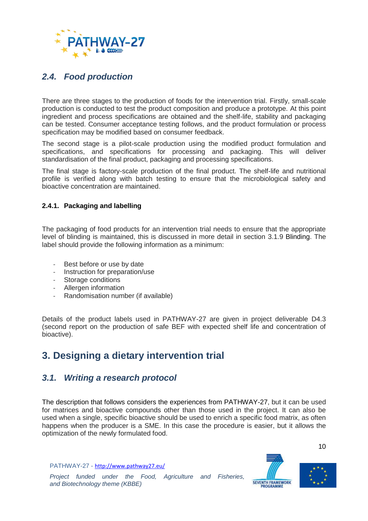

## <span id="page-13-0"></span>*2.4. Food production*

There are three stages to the production of foods for the intervention trial. Firstly, small-scale production is conducted to test the product composition and produce a prototype. At this point ingredient and process specifications are obtained and the shelf-life, stability and packaging can be tested. Consumer acceptance testing follows, and the product formulation or process specification may be modified based on consumer feedback.

The second stage is a pilot-scale production using the modified product formulation and specifications, and specifications for processing and packaging. This will deliver standardisation of the final product, packaging and processing specifications.

The final stage is factory-scale production of the final product. The shelf-life and nutritional profile is verified along with batch testing to ensure that the microbiological safety and bioactive concentration are maintained.

### <span id="page-13-1"></span>**2.4.1. Packaging and labelling**

The packaging of food products for an intervention trial needs to ensure that the appropriate level of blinding is maintained, this is discussed in more detail in section [3.1.9](#page-25-0) [Blinding.](#page-25-0) The label should provide the following information as a minimum:

- Best before or use by date
- Instruction for preparation/use
- Storage conditions
- Allergen information
- Randomisation number (if available)

Details of the product labels used in PATHWAY-27 are given in project deliverable D4.3 (second report on the production of safe BEF with expected shelf life and concentration of bioactive).

# <span id="page-13-2"></span>**3. Designing a dietary intervention trial**

## <span id="page-13-3"></span>*3.1. Writing a research protocol*

The description that follows considers the experiences from PATHWAY-27, but it can be used for matrices and bioactive compounds other than those used in the project. It can also be used when a single, specific bioactive should be used to enrich a specific food matrix, as often happens when the producer is a SME. In this case the procedure is easier, but it allows the optimization of the newly formulated food.

PATHWAY-27 - <http://www.pathway27.eu/>



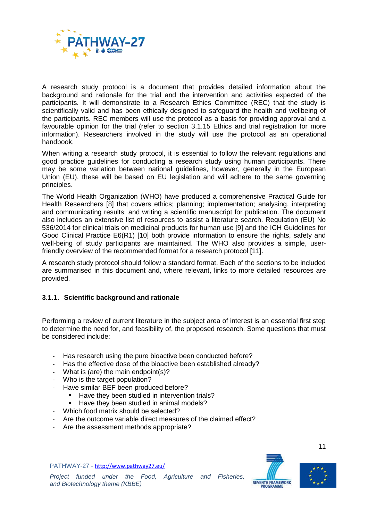

A research study protocol is a document that provides detailed information about the background and rationale for the trial and the intervention and activities expected of the participants. It will demonstrate to a Research Ethics Committee (REC) that the study is scientifically valid and has been ethically designed to safeguard the health and wellbeing of the participants. REC members will use the protocol as a basis for providing approval and a favourable opinion for the trial (refer to section [3.1.15](#page-30-2) Ethics [and trial registration](#page-30-2) for more information). Researchers involved in the study will use the protocol as an operational handbook.

When writing a research study protocol, it is essential to follow the relevant regulations and good practice guidelines for conducting a research study using human participants. There may be some variation between national guidelines, however, generally in the European Union (EU), these will be based on EU legislation and will adhere to the same governing principles.

The World Health Organization (WHO) have produced a comprehensive Practical Guide for Health Researchers [8] that covers ethics; planning; implementation; analysing, interpreting and communicating results; and writing a scientific manuscript for publication. The document also includes an extensive list of resources to assist a literature search. Regulation (EU) No 536/2014 for clinical trials on medicinal products for human use [9] and the ICH Guidelines for Good Clinical Practice E6(R1) [10] both provide information to ensure the rights, safety and well-being of study participants are maintained. The WHO also provides a simple, userfriendly overview of the recommended format for a research protocol [11].

A research study protocol should follow a standard format. Each of the sections to be included are summarised in this document and, where relevant, links to more detailed resources are provided.

## <span id="page-14-0"></span>**3.1.1. Scientific background and rationale**

Performing a review of current literature in the subject area of interest is an essential first step to determine the need for, and feasibility of, the proposed research. Some questions that must be considered include:

- Has research using the pure bioactive been conducted before?
- Has the effective dose of the bioactive been established already?
- What is (are) the main endpoint(s)?
- Who is the target population?
	- Have similar BEF been produced before?
		- Have they been studied in intervention trials?
		- Have they been studied in animal models?
- Which food matrix should be selected?
- Are the outcome variable direct measures of the claimed effect?
- Are the assessment methods appropriate?

PATHWAY-27 - <http://www.pathway27.eu/>



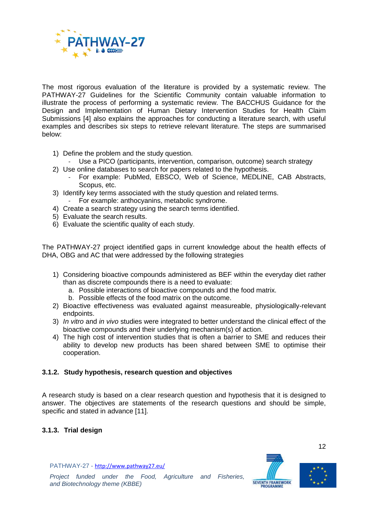

The most rigorous evaluation of the literature is provided by a systematic review. The PATHWAY-27 Guidelines for the Scientific Community contain valuable information to illustrate the process of performing a systematic review. The BACCHUS Guidance for the Design and Implementation of Human Dietary Intervention Studies for Health Claim Submissions [4] also explains the approaches for conducting a literature search, with useful examples and describes six steps to retrieve relevant literature. The steps are summarised below:

- 1) Define the problem and the study question.
- Use a PICO (participants, intervention, comparison, outcome) search strategy
- 2) Use online databases to search for papers related to the hypothesis.
	- For example: PubMed, EBSCO, Web of Science, MEDLINE, CAB Abstracts, Scopus, etc.
- 3) Identify key terms associated with the study question and related terms.
	- For example: anthocyanins, metabolic syndrome.
- 4) Create a search strategy using the search terms identified.
- 5) Evaluate the search results.
- 6) Evaluate the scientific quality of each study.

The PATHWAY-27 project identified gaps in current knowledge about the health effects of DHA, OBG and AC that were addressed by the following strategies

- 1) Considering bioactive compounds administered as BEF within the everyday diet rather than as discrete compounds there is a need to evaluate:
	- a. Possible interactions of bioactive compounds and the food matrix.
	- b. Possible effects of the food matrix on the outcome.
- 2) Bioactive effectiveness was evaluated against measureable, physiologically-relevant endpoints.
- 3) *In vitro* and *in vivo* studies were integrated to better understand the clinical effect of the bioactive compounds and their underlying mechanism(s) of action.
- 4) The high cost of intervention studies that is often a barrier to SME and reduces their ability to develop new products has been shared between SME to optimise their cooperation.

## <span id="page-15-0"></span>**3.1.2. Study hypothesis, research question and objectives**

A research study is based on a clear research question and hypothesis that it is designed to answer. The objectives are statements of the research questions and should be simple, specific and stated in advance [11].

## <span id="page-15-1"></span>**3.1.3. Trial design**

PATHWAY-27 - <http://www.pathway27.eu/>





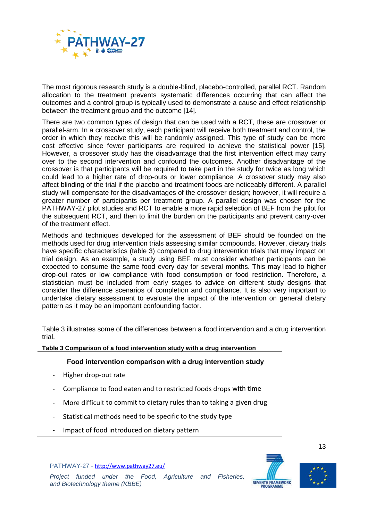

The most rigorous research study is a double-blind, placebo-controlled, parallel RCT. Random allocation to the treatment prevents systematic differences occurring that can affect the outcomes and a control group is typically used to demonstrate a cause and effect relationship between the treatment group and the outcome [14].

There are two common types of design that can be used with a RCT, these are crossover or parallel-arm. In a crossover study, each participant will receive both treatment and control, the order in which they receive this will be randomly assigned. This type of study can be more cost effective since fewer participants are required to achieve the statistical power [15]. However, a crossover study has the disadvantage that the first intervention effect may carry over to the second intervention and confound the outcomes. Another disadvantage of the crossover is that participants will be required to take part in the study for twice as long which could lead to a higher rate of drop-outs or lower compliance. A crossover study may also affect blinding of the trial if the placebo and treatment foods are noticeably different. A parallel study will compensate for the disadvantages of the crossover design; however, it will require a greater number of participants per treatment group. A parallel design was chosen for the PATHWAY-27 pilot studies and RCT to enable a more rapid selection of BEF from the pilot for the subsequent RCT, and then to limit the burden on the participants and prevent carry-over of the treatment effect.

Methods and techniques developed for the assessment of BEF should be founded on the methods used for drug intervention trials assessing similar compounds. However, dietary trials have specific characteristics (table 3) compared to drug intervention trials that may impact on trial design. As an example, a study using BEF must consider whether participants can be expected to consume the same food every day for several months. This may lead to higher drop-out rates or low compliance with food consumption or food restriction. Therefore, a statistician must be included from early stages to advice on different study designs that consider the difference scenarios of completion and compliance. It is also very important to undertake dietary assessment to evaluate the impact of the intervention on general dietary pattern as it may be an important confounding factor.

[Table 3](#page-16-0) illustrates some of the differences between a food intervention and a drug intervention trial.

<span id="page-16-0"></span>**Table 3 Comparison of a food intervention study with a drug intervention**

#### **Food intervention comparison with a drug intervention study**

- Higher drop-out rate
- Compliance to food eaten and to restricted foods drops with time
- More difficult to commit to dietary rules than to taking a given drug
- Statistical methods need to be specific to the study type
- Impact of food introduced on dietary pattern







13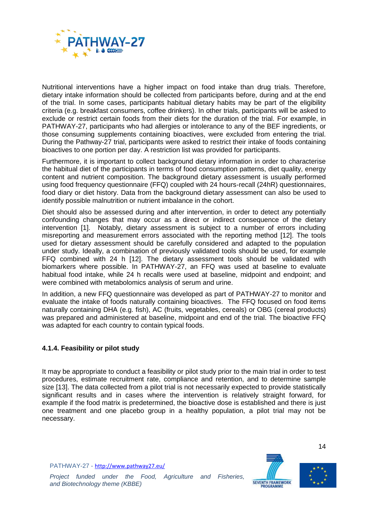

Nutritional interventions have a higher impact on food intake than drug trials. Therefore, dietary intake information should be collected from participants before, during and at the end of the trial. In some cases, participants habitual dietary habits may be part of the eligibility criteria (e.g. breakfast consumers, coffee drinkers). In other trials, participants will be asked to exclude or restrict certain foods from their diets for the duration of the trial. For example, in PATHWAY-27, participants who had allergies or intolerance to any of the BEF ingredients, or those consuming supplements containing bioactives, were excluded from entering the trial. During the Pathway-27 trial, participants were asked to restrict their intake of foods containing bioactives to one portion per day. A restriction list was provided for participants.

Furthermore, it is important to collect background dietary information in order to characterise the habitual diet of the participants in terms of food consumption patterns, diet quality, energy content and nutrient composition. The background dietary assessment is usually performed using food frequency questionnaire (FFQ) coupled with 24 hours-recall (24hR) questionnaires, food diary or diet history. Data from the background dietary assessment can also be used to identify possible malnutrition or nutrient imbalance in the cohort.

Diet should also be assessed during and after intervention, in order to detect any potentially confounding changes that may occur as a direct or indirect consequence of the dietary intervention [1]. Notably, dietary assessment is subject to a number of errors including misreporting and measurement errors associated with the reporting method [12]. The tools used for dietary assessment should be carefully considered and adapted to the population under study. Ideally, a combination of previously validated tools should be used, for example FFQ combined with 24 h [12]. The dietary assessment tools should be validated with biomarkers where possible. In PATHWAY-27, an FFQ was used at baseline to evaluate habitual food intake, while 24 h recalls were used at baseline, midpoint and endpoint; and were combined with metabolomics analysis of serum and urine.

In addition, a new FFQ questionnaire was developed as part of PATHWAY-27 to monitor and evaluate the intake of foods naturally containing bioactives. The FFQ focused on food items naturally containing DHA (e.g. fish), AC (fruits, vegetables, cereals) or OBG (cereal products) was prepared and administered at baseline, midpoint and end of the trial. The bioactive FFQ was adapted for each country to contain typical foods.

#### <span id="page-17-0"></span>**4.1.4. Feasibility or pilot study**

It may be appropriate to conduct a feasibility or pilot study prior to the main trial in order to test procedures, estimate recruitment rate, compliance and retention, and to determine sample size [13]. The data collected from a pilot trial is not necessarily expected to provide statistically significant results and in cases where the intervention is relatively straight forward, for example if the food matrix is predetermined, the bioactive dose is established and there is just one treatment and one placebo group in a healthy population, a pilot trial may not be necessary.

PATHWAY-27 - <http://www.pathway27.eu/>





*Project funded under the Food, Agriculture and Fisheries, and Biotechnology theme (KBBE)*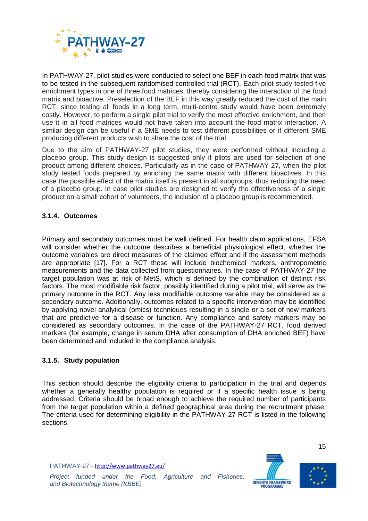

In PATHWAY-27, pilot studies were conducted to select one BEF in each food matrix that was to be tested in the subsequent randomised controlled trial (RCT). Each pilot study tested five enrichment types in one of three food matrices, thereby considering the interaction of the food matrix and bioactive. Preselection of the BEF in this way greatly reduced the cost of the main RCT, since testing all foods in a long term, multi-centre study would have been extremely costly. However, to perform a single pilot trial to verify the most effective enrichment, and then use it in all food matrices would not have taken into account the food matrix interaction. A similar design can be useful if a SME needs to test different possibilities or if different SME producing different products wish to share the cost of the trial.

Due to the aim of PATHWAY-27 pilot studies, they were performed without including a placebo group. This study design is suggested only if pilots are used for selection of one product among different choices. Particularly as in the case of PATHWAY-27, when the pilot study tested foods prepared by enriching the same matrix with different bioactives. In this case the possible effect of the matrix itself is present in all subgroups, thus reducing the need of a placebo group. In case pilot studies are designed to verify the effectiveness of a single product on a small cohort of volunteers, the inclusion of a placebo group is recommended.

### <span id="page-18-0"></span>**3.1.4. Outcomes**

Primary and secondary outcomes must be well defined. For health claim applications, EFSA will consider whether the outcome describes a beneficial physiological effect, whether the outcome variables are direct measures of the claimed effect and if the assessment methods are appropriate [17]. For a RCT these will include biochemical markers, anthropometric measurements and the data collected from questionnaires. In the case of PATHWAY-27 the target population was at risk of MetS, which is defined by the combination of distinct risk factors. The most modifiable risk factor, possibly identified during a pilot trial, will serve as the primary outcome in the RCT. Any less modifiable outcome variable may be considered as a secondary outcome. Additionally, outcomes related to a specific intervention may be identified by applying novel analytical (omics) techniques resulting in a single or a set of new markers that are predictive for a disease or function. Any compliance and safety markers may be considered as secondary outcomes. In the case of the PATHWAY-27 RCT, food derived markers (for example, change in serum DHA after consumption of DHA enriched BEF) have been determined and included in the compliance analysis.

#### <span id="page-18-1"></span>**3.1.5. Study population**

This section should describe the eligibility criteria to participation in the trial and depends whether a generally healthy population is required or if a specific health issue is being addressed. Criteria should be broad enough to achieve the required number of participants from the target population within a defined geographical area during the recruitment phase. The criteria used for determining eligibility in the PATHWAY-27 RCT is listed in the following sections.

PATHWAY-27 - <http://www.pathway27.eu/>



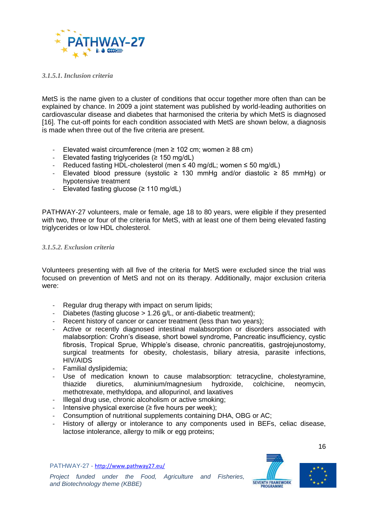

#### *3.1.5.1. Inclusion criteria*

MetS is the name given to a cluster of conditions that occur together more often than can be explained by chance. In 2009 a joint statement was published by world-leading authorities on cardiovascular disease and diabetes that harmonised the criteria by which MetS is diagnosed [16]. The cut-off points for each condition associated with MetS are shown below, a diagnosis is made when three out of the five criteria are present.

- Elevated waist circumference (men  $≥$  102 cm; women  $≥$  88 cm)
- Elevated fasting triglycerides (≥ 150 mg/dL)
- Reduced fasting HDL-cholesterol (men ≤ 40 mg/dL; women ≤ 50 mg/dL)
- Elevated blood pressure (systolic ≥ 130 mmHg and/or diastolic ≥ 85 mmHg) or hypotensive treatment
- Elevated fasting glucose  $(≥ 110$  mg/dL)

PATHWAY-27 volunteers, male or female, age 18 to 80 years, were eligible if they presented with two, three or four of the criteria for MetS, with at least one of them being elevated fasting triglycerides or low HDL cholesterol.

#### *3.1.5.2. Exclusion criteria*

Volunteers presenting with all five of the criteria for MetS were excluded since the trial was focused on prevention of MetS and not on its therapy. Additionally, major exclusion criteria were:

- Regular drug therapy with impact on serum lipids;
- Diabetes (fasting glucose > 1.26 g/L, or anti-diabetic treatment);
- Recent history of cancer or cancer treatment (less than two years);
- Active or recently diagnosed intestinal malabsorption or disorders associated with malabsorption: Crohn's disease, short bowel syndrome, Pancreatic insufficiency, cystic fibrosis, Tropical Sprue, Whipple's disease, chronic pancreatitis, gastrojejunostomy, surgical treatments for obesity, cholestasis, biliary atresia, parasite infections, HIV/AIDS
- Familial dyslipidemia;
- Use of medication known to cause malabsorption: tetracycline, cholestyramine, thiazide diuretics, aluminium/magnesium hydroxide, colchicine, neomycin, thiazide diuretics, aluminium/magnesium hydroxide, colchicine, neomycin, methotrexate, methyldopa, and allopurinol, and laxatives
- Illegal drug use, chronic alcoholism or active smoking;
- Intensive physical exercise ( $\geq$  five hours per week);
- Consumption of nutritional supplements containing DHA, OBG or AC;
- History of allergy or intolerance to any components used in BEFs, celiac disease, lactose intolerance, allergy to milk or egg proteins;

PATHWAY-27 - <http://www.pathway27.eu/>



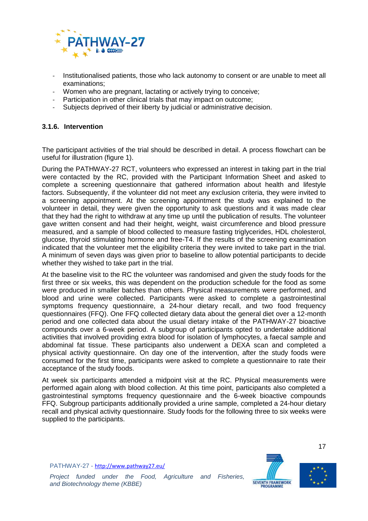

- Institutionalised patients, those who lack autonomy to consent or are unable to meet all examinations;
- Women who are pregnant, lactating or actively trying to conceive;
- Participation in other clinical trials that may impact on outcome;
- Subjects deprived of their liberty by judicial or administrative decision.

### <span id="page-20-0"></span>**3.1.6. Intervention**

The participant activities of the trial should be described in detail. A process flowchart can be useful for illustration (figure 1).

During the PATHWAY-27 RCT, volunteers who expressed an interest in taking part in the trial were contacted by the RC, provided with the Participant Information Sheet and asked to complete a screening questionnaire that gathered information about health and lifestyle factors. Subsequently, if the volunteer did not meet any exclusion criteria, they were invited to a screening appointment. At the screening appointment the study was explained to the volunteer in detail, they were given the opportunity to ask questions and it was made clear that they had the right to withdraw at any time up until the publication of results. The volunteer gave written consent and had their height, weight, waist circumference and blood pressure measured, and a sample of blood collected to measure fasting triglycerides, HDL cholesterol, glucose, thyroid stimulating hormone and free-T4. If the results of the screening examination indicated that the volunteer met the eligibility criteria they were invited to take part in the trial. A minimum of seven days was given prior to baseline to allow potential participants to decide whether they wished to take part in the trial.

At the baseline visit to the RC the volunteer was randomised and given the study foods for the first three or six weeks, this was dependent on the production schedule for the food as some were produced in smaller batches than others. Physical measurements were performed, and blood and urine were collected. Participants were asked to complete a gastrointestinal symptoms frequency questionnaire, a 24-hour dietary recall, and two food frequency questionnaires (FFQ). One FFQ collected dietary data about the general diet over a 12-month period and one collected data about the usual dietary intake of the PATHWAY-27 bioactive compounds over a 6-week period. A subgroup of participants opted to undertake additional activities that involved providing extra blood for isolation of lymphocytes, a faecal sample and abdominal fat tissue. These participants also underwent a DEXA scan and completed a physical activity questionnaire. On day one of the intervention, after the study foods were consumed for the first time, participants were asked to complete a questionnaire to rate their acceptance of the study foods.

At week six participants attended a midpoint visit at the RC. Physical measurements were performed again along with blood collection. At this time point, participants also completed a gastrointestinal symptoms frequency questionnaire and the 6-week bioactive compounds FFQ. Subgroup participants additionally provided a urine sample, completed a 24-hour dietary recall and physical activity questionnaire. Study foods for the following three to six weeks were supplied to the participants.

PATHWAY-27 - <http://www.pathway27.eu/>



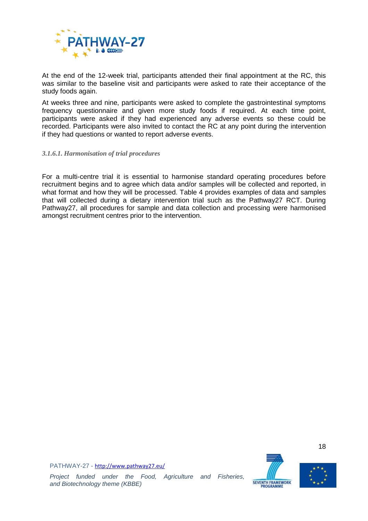

At the end of the 12-week trial, participants attended their final appointment at the RC, this was similar to the baseline visit and participants were asked to rate their acceptance of the study foods again.

At weeks three and nine, participants were asked to complete the gastrointestinal symptoms frequency questionnaire and given more study foods if required. At each time point, participants were asked if they had experienced any adverse events so these could be recorded. Participants were also invited to contact the RC at any point during the intervention if they had questions or wanted to report adverse events.

#### *3.1.6.1. Harmonisation of trial procedures*

For a multi-centre trial it is essential to harmonise standard operating procedures before recruitment begins and to agree which data and/or samples will be collected and reported, in what format and how they will be processed. [Table 4](#page-22-0) provides examples of data and samples that will collected during a dietary intervention trial such as the Pathway27 RCT. During Pathway27, all procedures for sample and data collection and processing were harmonised amongst recruitment centres prior to the intervention.



18

PATHWAY-27 - <http://www.pathway27.eu/>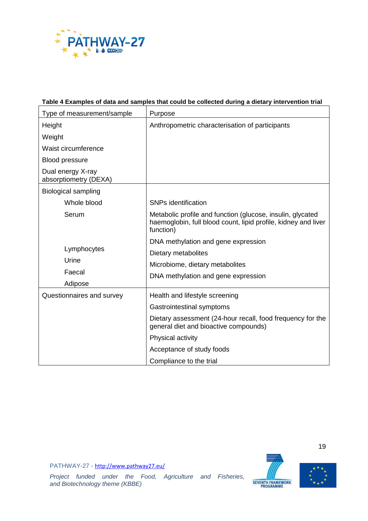

## <span id="page-22-0"></span>**Table 4 Examples of data and samples that could be collected during a dietary intervention trial**

| Type of measurement/sample                 | Purpose                                                                                                                                   |
|--------------------------------------------|-------------------------------------------------------------------------------------------------------------------------------------------|
| Height                                     | Anthropometric characterisation of participants                                                                                           |
| Weight                                     |                                                                                                                                           |
| Waist circumference                        |                                                                                                                                           |
| <b>Blood pressure</b>                      |                                                                                                                                           |
| Dual energy X-ray<br>absorptiometry (DEXA) |                                                                                                                                           |
| <b>Biological sampling</b>                 |                                                                                                                                           |
| Whole blood                                | <b>SNPs identification</b>                                                                                                                |
| Serum                                      | Metabolic profile and function (glucose, insulin, glycated<br>haemoglobin, full blood count, lipid profile, kidney and liver<br>function) |
|                                            | DNA methylation and gene expression                                                                                                       |
| Lymphocytes                                | Dietary metabolites                                                                                                                       |
| Urine                                      | Microbiome, dietary metabolites                                                                                                           |
| Faecal                                     | DNA methylation and gene expression                                                                                                       |
| Adipose                                    |                                                                                                                                           |
| Questionnaires and survey                  | Health and lifestyle screening                                                                                                            |
|                                            | Gastrointestinal symptoms                                                                                                                 |
|                                            | Dietary assessment (24-hour recall, food frequency for the<br>general diet and bioactive compounds)                                       |
|                                            | Physical activity                                                                                                                         |
|                                            | Acceptance of study foods                                                                                                                 |
|                                            | Compliance to the trial                                                                                                                   |

PATHWAY-27 - <http://www.pathway27.eu/>





*Project funded under the Food, Agriculture and Fisheries, and Biotechnology theme (KBBE)*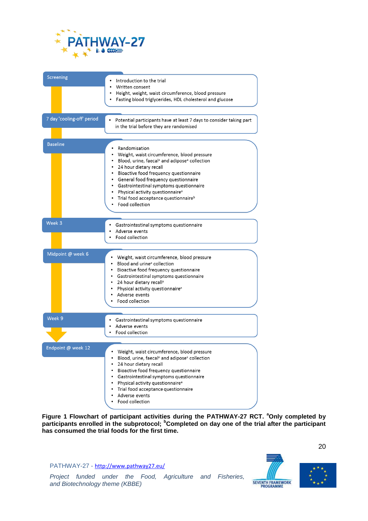

| Screening                  | Introduction to the trial<br>Written consent                                                                                                                                                                                                                                                                                                                                                                                        |
|----------------------------|-------------------------------------------------------------------------------------------------------------------------------------------------------------------------------------------------------------------------------------------------------------------------------------------------------------------------------------------------------------------------------------------------------------------------------------|
|                            | Height, weight, waist circumference, blood pressure<br>٠<br>Fasting blood triglycerides, HDL cholesterol and glucose                                                                                                                                                                                                                                                                                                                |
| 7 day 'cooling-off' period | $\bullet$<br>Potential participants have at least 7 days to consider taking part<br>in the trial before they are randomised                                                                                                                                                                                                                                                                                                         |
| <b>Baseline</b>            | Randomisation<br>Weight, waist circumference, blood pressure<br>• Blood, urine, faecal <sup>a</sup> and adipose <sup>a</sup> collection<br>• 24 hour dietary recall<br>· Bioactive food frequency questionnaire<br>• General food frequency questionnaire<br>• Gastrointestinal symptoms questionnaire<br>• Physical activity questionnaire <sup>a</sup><br>• Trial food acceptance questionnaire <sup>b</sup><br>• Food collection |
| Week 3                     | Gastrointestinal symptoms questionnaire<br>Adverse events<br>Food collection                                                                                                                                                                                                                                                                                                                                                        |
| Midpoint @ week 6          | • Weight, waist circumference, blood pressure<br>Blood and urine <sup>a</sup> collection<br>• Bioactive food frequency questionnaire<br>• Gastrointestinal symptoms questionnaire<br>• 24 hour dietary recall <sup>a</sup><br>Physical activity questionnaire <sup>a</sup><br>Adverse events<br>Food collection                                                                                                                     |
| Week 9                     | Gastrointestinal symptoms questionnaire<br>Adverse events<br>Food collection                                                                                                                                                                                                                                                                                                                                                        |
| Endpoint @ week 12         | Weight, waist circumference, blood pressure<br>Blood, urine, faecal <sup>a</sup> and adipose <sup>a</sup> collection<br>24 hour dietary recall<br>$\bullet$<br>Bioactive food frequency questionnaire<br>٠<br>Gastrointestinal symptoms questionnaire<br>$\bullet$<br>Physical activity questionnaire <sup>a</sup><br>Trial food acceptance questionnaire<br>٠<br>Adverse events<br>Food collection                                 |

**Figure 1 Flowchart of participant activities during the PATHWAY-27 RCT. <sup>a</sup>Only completed by participants enrolled in the subprotocol; <sup>b</sup>Completed on day one of the trial after the participant has consumed the trial foods for the first time.**

PATHWAY-27 - <http://www.pathway27.eu/>



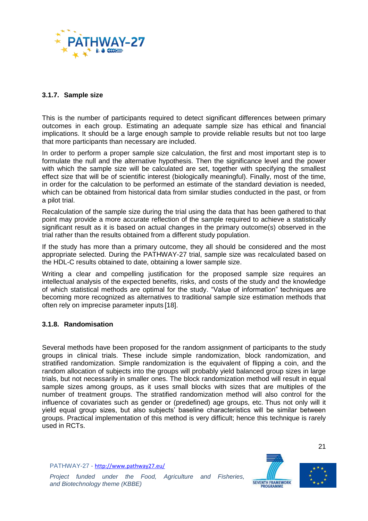

### <span id="page-24-0"></span>**3.1.7. Sample size**

This is the number of participants required to detect significant differences between primary outcomes in each group. Estimating an adequate sample size has ethical and financial implications. It should be a large enough sample to provide reliable results but not too large that more participants than necessary are included.

In order to perform a proper sample size calculation, the first and most important step is to formulate the null and the alternative hypothesis. Then the significance level and the power with which the sample size will be calculated are set, together with specifying the smallest effect size that will be of scientific interest (biologically meaningful). Finally, most of the time, in order for the calculation to be performed an estimate of the standard deviation is needed, which can be obtained from historical data from similar studies conducted in the past, or from a pilot trial.

Recalculation of the sample size during the trial using the data that has been gathered to that point may provide a more accurate reflection of the sample required to achieve a statistically significant result as it is based on actual changes in the primary outcome(s) observed in the trial rather than the results obtained from a different study population.

If the study has more than a primary outcome, they all should be considered and the most appropriate selected. During the PATHWAY-27 trial, sample size was recalculated based on the HDL-C results obtained to date, obtaining a lower sample size.

Writing a clear and compelling justification for the proposed sample size requires an intellectual analysis of the expected benefits, risks, and costs of the study and the knowledge of which statistical methods are optimal for the study. "Value of information" techniques are becoming more recognized as alternatives to traditional sample size estimation methods that often rely on imprecise parameter inputs [18].

#### <span id="page-24-1"></span>**3.1.8. Randomisation**

Several methods have been proposed for the random assignment of participants to the study groups in clinical trials. These include simple randomization, block randomization, and stratified randomization. Simple randomization is the equivalent of flipping a coin, and the random allocation of subjects into the groups will probably yield balanced group sizes in large trials, but not necessarily in smaller ones. The block randomization method will result in equal sample sizes among groups, as it uses small blocks with sizes that are multiples of the number of treatment groups. The stratified randomization method will also control for the influence of covariates such as gender or (predefined) age groups, etc. Thus not only will it yield equal group sizes, but also subjects' baseline characteristics will be similar between groups. Practical implementation of this method is very difficult; hence this technique is rarely used in RCTs.

PATHWAY-27 - <http://www.pathway27.eu/>



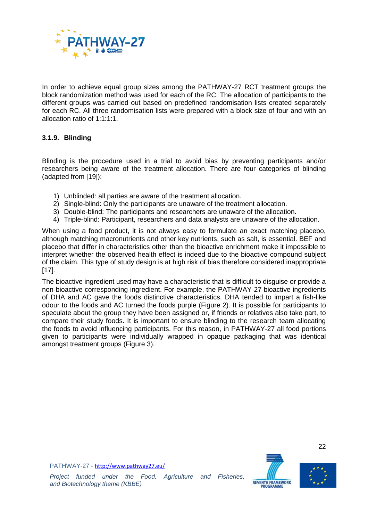

In order to achieve equal group sizes among the PATHWAY-27 RCT treatment groups the block randomization method was used for each of the RC. The allocation of participants to the different groups was carried out based on predefined randomisation lists created separately for each RC. All three randomisation lists were prepared with a block size of four and with an allocation ratio of 1:1:1:1.

## <span id="page-25-0"></span>**3.1.9. Blinding**

Blinding is the procedure used in a trial to avoid bias by preventing participants and/or researchers being aware of the treatment allocation. There are four categories of blinding (adapted from [19]):

- 1) Unblinded: all parties are aware of the treatment allocation.
- 2) Single-blind: Only the participants are unaware of the treatment allocation.
- 3) Double-blind: The participants and researchers are unaware of the allocation.
- 4) Triple-blind: Participant, researchers and data analysts are unaware of the allocation.

When using a food product, it is not always easy to formulate an exact matching placebo, although matching macronutrients and other key nutrients, such as salt, is essential. BEF and placebo that differ in characteristics other than the bioactive enrichment make it impossible to interpret whether the observed health effect is indeed due to the bioactive compound subject of the claim. This type of study design is at high risk of bias therefore considered inappropriate [17].

The bioactive ingredient used may have a characteristic that is difficult to disguise or provide a non-bioactive corresponding ingredient. For example, the PATHWAY-27 bioactive ingredients of DHA and AC gave the foods distinctive characteristics. DHA tended to impart a fish-like odour to the foods and AC turned the foods purple [\(Figure 2\)](#page-26-0). It is possible for participants to speculate about the group they have been assigned or, if friends or relatives also take part, to compare their study foods. It is important to ensure blinding to the research team allocating the foods to avoid influencing participants. For this reason, in PATHWAY-27 all food portions given to participants were individually wrapped in opaque packaging that was identical amongst treatment groups [\(Figure 3\)](#page-27-1).





22

PATHWAY-27 - <http://www.pathway27.eu/>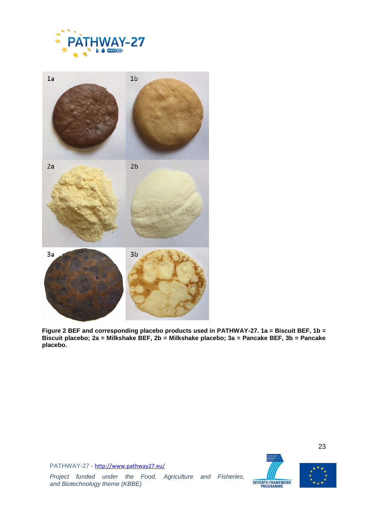



<span id="page-26-0"></span>**Figure 2 BEF and corresponding placebo products used in PATHWAY-27. 1a = Biscuit BEF, 1b = Biscuit placebo; 2a = Milkshake BEF, 2b = Milkshake placebo; 3a = Pancake BEF, 3b = Pancake placebo.**





23

PATHWAY-27 - <http://www.pathway27.eu/>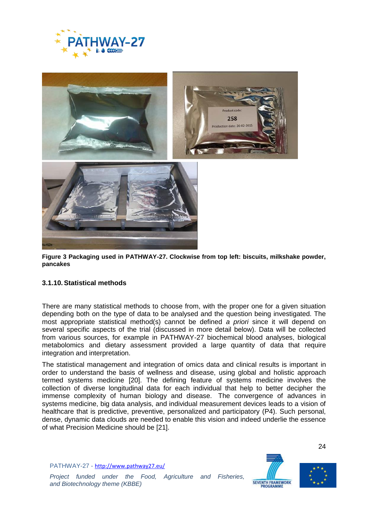



**Figure 3 Packaging used in PATHWAY-27. Clockwise from top left: biscuits, milkshake powder, pancakes**

#### <span id="page-27-1"></span><span id="page-27-0"></span>**3.1.10.Statistical methods**

There are many statistical methods to choose from, with the proper one for a given situation depending both on the type of data to be analysed and the question being investigated. The most appropriate statistical method(s) cannot be defined *a priori* since it will depend on several specific aspects of the trial (discussed in more detail below). Data will be collected from various sources, for example in PATHWAY-27 biochemical blood analyses, biological metabolomics and dietary assessment provided a large quantity of data that require integration and interpretation.

The statistical management and integration of omics data and clinical results is important in order to understand the basis of wellness and disease, using global and holistic approach termed systems medicine [20]. The defining feature of systems medicine involves the collection of diverse longitudinal data for each individual that help to better decipher the immense complexity of human biology and disease. The convergence of advances in systems medicine, big data analysis, and individual measurement devices leads to a vision of healthcare that is predictive, preventive, personalized and participatory (P4). Such personal, dense, dynamic data clouds are needed to enable this vision and indeed underlie the essence of what Precision Medicine should be [21].

PATHWAY-27 - <http://www.pathway27.eu/>





24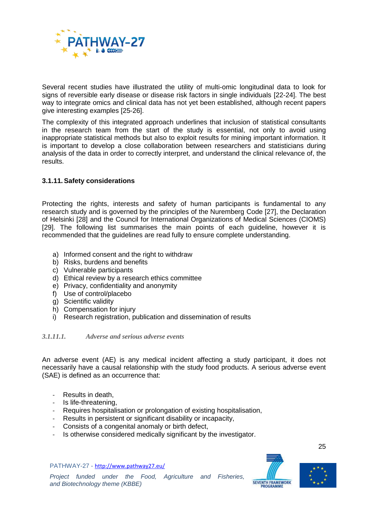

Several recent studies have illustrated the utility of multi-omic longitudinal data to look for signs of reversible early disease or disease risk factors in single individuals [22-24]. The best way to integrate omics and clinical data has not yet been established, although recent papers give interesting examples [25-26].

The complexity of this integrated approach underlines that inclusion of statistical consultants in the research team from the start of the study is essential, not only to avoid using inappropriate statistical methods but also to exploit results for mining important information. It is important to develop a close collaboration between researchers and statisticians during analysis of the data in order to correctly interpret, and understand the clinical relevance of, the results.

### <span id="page-28-0"></span>**3.1.11.Safety considerations**

Protecting the rights, interests and safety of human participants is fundamental to any research study and is governed by the principles of the Nuremberg Code [27], the Declaration of Helsinki [28] and the Council for International Organizations of Medical Sciences (CIOMS) [29]. The following list summarises the main points of each guideline, however it is recommended that the guidelines are read fully to ensure complete understanding.

- a) Informed consent and the right to withdraw
- b) Risks, burdens and benefits
- c) Vulnerable participants
- d) Ethical review by a research ethics committee
- e) Privacy, confidentiality and anonymity
- f) Use of control/placebo
- g) Scientific validity
- h) Compensation for injury
- i) Research registration, publication and dissemination of results

#### *3.1.11.1. Adverse and serious adverse events*

An adverse event (AE) is any medical incident affecting a study participant, it does not necessarily have a causal relationship with the study food products. A serious adverse event (SAE) is defined as an occurrence that:

- Results in death,
- Is life-threatening,
- Requires hospitalisation or prolongation of existing hospitalisation,
- Results in persistent or significant disability or incapacity,
- Consists of a congenital anomaly or birth defect,
- Is otherwise considered medically significant by the investigator.

PATHWAY-27 - <http://www.pathway27.eu/>



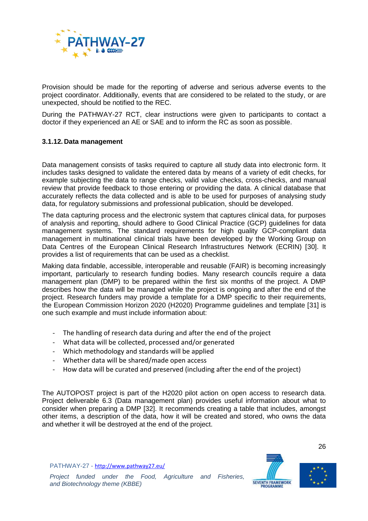

Provision should be made for the reporting of adverse and serious adverse events to the project coordinator. Additionally, events that are considered to be related to the study, or are unexpected, should be notified to the REC.

During the PATHWAY-27 RCT, clear instructions were given to participants to contact a doctor if they experienced an AE or SAE and to inform the RC as soon as possible.

#### <span id="page-29-0"></span>**3.1.12. Data management**

Data management consists of tasks required to capture all study data into electronic form. It includes tasks designed to validate the entered data by means of a variety of edit checks, for example subjecting the data to range checks, valid value checks, cross-checks, and manual review that provide feedback to those entering or providing the data. A clinical database that accurately reflects the data collected and is able to be used for purposes of analysing study data, for regulatory submissions and professional publication, should be developed.

The data capturing process and the electronic system that captures clinical data, for purposes of analysis and reporting, should adhere to Good Clinical Practice (GCP) guidelines for data management systems. The standard requirements for high quality GCP-compliant data management in multinational clinical trials have been developed by the Working Group on Data Centres of the European Clinical Research Infrastructures Network (ECRIN) [30]. It provides a list of requirements that can be used as a checklist.

Making data findable, accessible, interoperable and reusable (FAIR) is becoming increasingly important, particularly to research funding bodies. Many research councils require a data management plan (DMP) to be prepared within the first six months of the project. A DMP describes how the data will be managed while the project is ongoing and after the end of the project. Research funders may provide a template for a DMP specific to their requirements, the European Commission Horizon 2020 (H2020) Programme guidelines and template [31] is one such example and must include information about:

- The handling of research data during and after the end of the project
- What data will be collected, processed and/or generated
- Which methodology and standards will be applied
- Whether data will be shared/made open access
- How data will be curated and preserved (including after the end of the project)

The AUTOPOST project is part of the H2020 pilot action on open access to research data. Project deliverable 6.3 (Data management plan) provides useful information about what to consider when preparing a DMP [32]. It recommends creating a table that includes, amongst other items, a description of the data, how it will be created and stored, who owns the data and whether it will be destroyed at the end of the project.



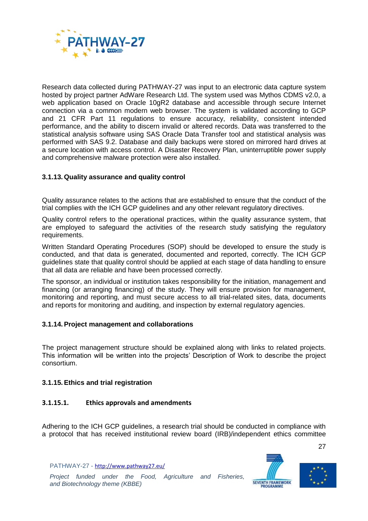

Research data collected during PATHWAY-27 was input to an electronic data capture system hosted by project partner AdWare Research Ltd. The system used was Mythos CDMS v2.0, a web application based on Oracle 10gR2 database and accessible through secure Internet connection via a common modern web browser. The system is validated according to GCP and 21 CFR Part 11 regulations to ensure accuracy, reliability, consistent intended performance, and the ability to discern invalid or altered records. Data was transferred to the statistical analysis software using SAS Oracle Data Transfer tool and statistical analysis was performed with SAS 9.2. Database and daily backups were stored on mirrored hard drives at a secure location with access control. A Disaster Recovery Plan, uninterruptible power supply and comprehensive malware protection were also installed.

### <span id="page-30-0"></span>**3.1.13. Quality assurance and quality control**

Quality assurance relates to the actions that are established to ensure that the conduct of the trial complies with the ICH GCP guidelines and any other relevant regulatory directives.

Quality control refers to the operational practices, within the quality assurance system, that are employed to safeguard the activities of the research study satisfying the regulatory requirements.

Written Standard Operating Procedures (SOP) should be developed to ensure the study is conducted, and that data is generated, documented and reported, correctly. The ICH GCP guidelines state that quality control should be applied at each stage of data handling to ensure that all data are reliable and have been processed correctly.

The sponsor, an individual or institution takes responsibility for the initiation, management and financing (or arranging financing) of the study. They will ensure provision for management, monitoring and reporting, and must secure access to all trial-related sites, data, documents and reports for monitoring and auditing, and inspection by external regulatory agencies.

#### <span id="page-30-1"></span>**3.1.14.Project management and collaborations**

The project management structure should be explained along with links to related projects. This information will be written into the projects' Description of Work to describe the project consortium.

#### <span id="page-30-2"></span>**3.1.15.Ethics and trial registration**

#### **3.1.15.1. Ethics approvals and amendments**

Adhering to the ICH GCP guidelines, a research trial should be conducted in compliance with a protocol that has received institutional review board (IRB)/independent ethics committee

PATHWAY-27 - <http://www.pathway27.eu/>



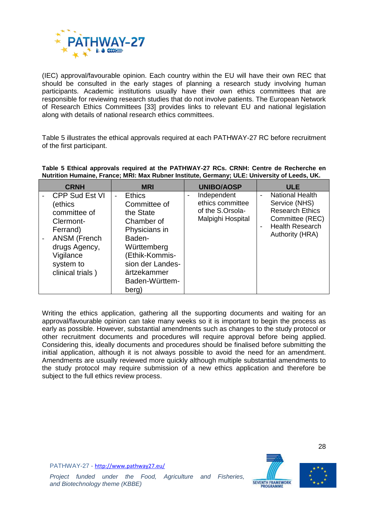

(IEC) approval/favourable opinion. Each country within the EU will have their own REC that should be consulted in the early stages of planning a research study involving human participants. Academic institutions usually have their own ethics committees that are responsible for reviewing research studies that do not involve patients. The European Network of Research Ethics Committees [33] provides links to relevant EU and national legislation along with details of national research ethics committees.

[Table 5](#page-31-0) illustrates the ethical approvals required at each PATHWAY-27 RC before recruitment of the first participant.

| <b>CRNH</b>                                                                                                                                                     | <b>MRI</b>                                                                                                                                                                                  | UNIBO/AOSP                                                                                               | <b>ULE</b>                                                                                                                                                            |
|-----------------------------------------------------------------------------------------------------------------------------------------------------------------|---------------------------------------------------------------------------------------------------------------------------------------------------------------------------------------------|----------------------------------------------------------------------------------------------------------|-----------------------------------------------------------------------------------------------------------------------------------------------------------------------|
| <b>CPP Sud Est VI</b><br>(ethics<br>committee of<br>Clermont-<br>Ferrand)<br><b>ANSM (French</b><br>drugs Agency,<br>Vigilance<br>system to<br>clinical trials) | <b>Ethics</b><br>$\sim$<br>Committee of<br>the State<br>Chamber of<br>Physicians in<br>Baden-<br>Württemberg<br>Ethik-Kommis-<br>sion der Landes-<br>ärtzekammer<br>Baden-Württem-<br>berg) | Independent<br>$\qquad \qquad \blacksquare$<br>ethics committee<br>of the S.Orsola-<br>Malpighi Hospital | <b>National Health</b><br>$\blacksquare$<br>Service (NHS)<br><b>Research Ethics</b><br>Committee (REC)<br><b>Health Research</b><br>$\blacksquare$<br>Authority (HRA) |

<span id="page-31-0"></span>**Table 5 Ethical approvals required at the PATHWAY-27 RCs. CRNH: Centre de Recherche en Nutrition Humaine, France; MRI: Max Rubner Institute, Germany; ULE: University of Leeds, UK.**

Writing the ethics application, gathering all the supporting documents and waiting for an approval/favourable opinion can take many weeks so it is important to begin the process as early as possible. However, substantial amendments such as changes to the study protocol or other recruitment documents and procedures will require approval before being applied. Considering this, ideally documents and procedures should be finalised before submitting the initial application, although it is not always possible to avoid the need for an amendment. Amendments are usually reviewed more quickly although multiple substantial amendments to the study protocol may require submission of a new ethics application and therefore be subject to the full ethics review process.





*Project funded under the Food, Agriculture and Fisheries,*

*and Biotechnology theme (KBBE)*

PATHWAY-27 - <http://www.pathway27.eu/>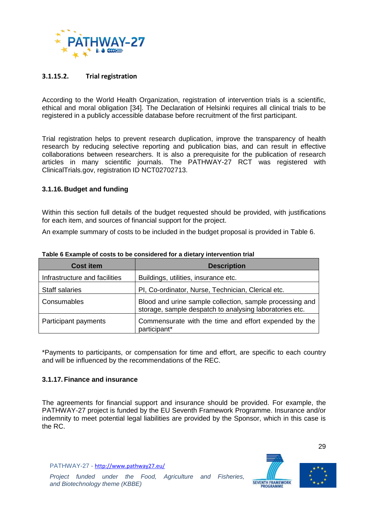

### **3.1.15.2. Trial registration**

According to the World Health Organization, registration of intervention trials is a scientific, ethical and moral obligation [34]. The Declaration of Helsinki requires all clinical trials to be registered in a publicly accessible database before recruitment of the first participant.

Trial registration helps to prevent research duplication, improve the transparency of health research by reducing selective reporting and publication bias, and can result in effective collaborations between researchers. It is also a prerequisite for the publication of research articles in many scientific journals. The PATHWAY-27 RCT was registered with ClinicalTrials.gov, registration ID NCT02702713.

#### <span id="page-32-0"></span>**3.1.16. Budget and funding**

Within this section full details of the budget requested should be provided, with justifications for each item, and sources of financial support for the project.

An example summary of costs to be included in the budget proposal is provided in [Table 6.](#page-32-2)

| <b>Cost item</b>              | <b>Description</b>                                                                                                  |
|-------------------------------|---------------------------------------------------------------------------------------------------------------------|
| Infrastructure and facilities | Buildings, utilities, insurance etc.                                                                                |
| <b>Staff salaries</b>         | PI, Co-ordinator, Nurse, Technician, Clerical etc.                                                                  |
| Consumables                   | Blood and urine sample collection, sample processing and<br>storage, sample despatch to analysing laboratories etc. |
| Participant payments          | Commensurate with the time and effort expended by the<br>participant*                                               |

<span id="page-32-2"></span>**Table 6 Example of costs to be considered for a dietary intervention trial**

\*Payments to participants, or compensation for time and effort, are specific to each country and will be influenced by the recommendations of the REC.

#### <span id="page-32-1"></span>**3.1.17. Finance and insurance**

The agreements for financial support and insurance should be provided. For example, the PATHWAY-27 project is funded by the EU Seventh Framework Programme. Insurance and/or indemnity to meet potential legal liabilities are provided by the Sponsor, which in this case is the RC.

PATHWAY-27 - <http://www.pathway27.eu/>



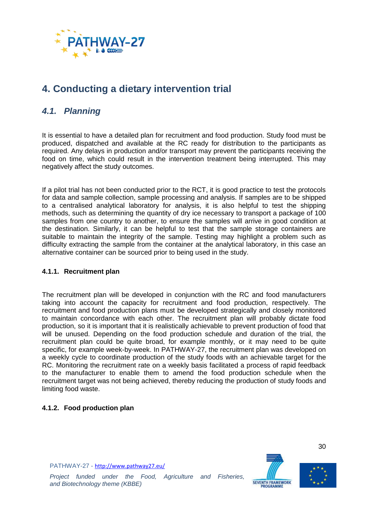

# <span id="page-33-0"></span>**4. Conducting a dietary intervention trial**

## <span id="page-33-1"></span>*4.1. Planning*

It is essential to have a detailed plan for recruitment and food production. Study food must be produced, dispatched and available at the RC ready for distribution to the participants as required. Any delays in production and/or transport may prevent the participants receiving the food on time, which could result in the intervention treatment being interrupted. This may negatively affect the study outcomes.

If a pilot trial has not been conducted prior to the RCT, it is good practice to test the protocols for data and sample collection, sample processing and analysis. If samples are to be shipped to a centralised analytical laboratory for analysis, it is also helpful to test the shipping methods, such as determining the quantity of dry ice necessary to transport a package of 100 samples from one country to another, to ensure the samples will arrive in good condition at the destination. Similarly, it can be helpful to test that the sample storage containers are suitable to maintain the integrity of the sample. Testing may highlight a problem such as difficulty extracting the sample from the container at the analytical laboratory, in this case an alternative container can be sourced prior to being used in the study.

#### <span id="page-33-2"></span>**4.1.1. Recruitment plan**

The recruitment plan will be developed in conjunction with the RC and food manufacturers taking into account the capacity for recruitment and food production, respectively. The recruitment and food production plans must be developed strategically and closely monitored to maintain concordance with each other. The recruitment plan will probably dictate food production, so it is important that it is realistically achievable to prevent production of food that will be unused. Depending on the food production schedule and duration of the trial, the recruitment plan could be quite broad, for example monthly, or it may need to be quite specific, for example week-by-week. In PATHWAY-27, the recruitment plan was developed on a weekly cycle to coordinate production of the study foods with an achievable target for the RC. Monitoring the recruitment rate on a weekly basis facilitated a process of rapid feedback to the manufacturer to enable them to amend the food production schedule when the recruitment target was not being achieved, thereby reducing the production of study foods and limiting food waste.

## <span id="page-33-3"></span>**4.1.2. Food production plan**





30

PATHWAY-27 - <http://www.pathway27.eu/>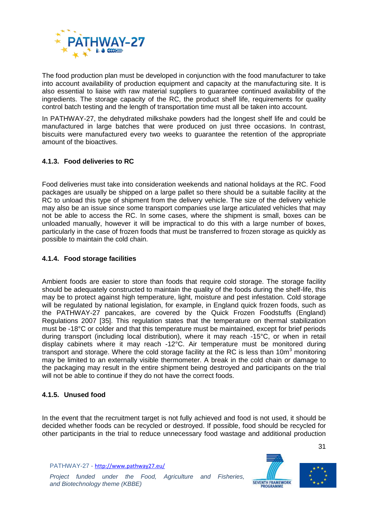

The food production plan must be developed in conjunction with the food manufacturer to take into account availability of production equipment and capacity at the manufacturing site. It is also essential to liaise with raw material suppliers to guarantee continued availability of the ingredients. The storage capacity of the RC, the product shelf life, requirements for quality control batch testing and the length of transportation time must all be taken into account.

In PATHWAY-27, the dehydrated milkshake powders had the longest shelf life and could be manufactured in large batches that were produced on just three occasions. In contrast, biscuits were manufactured every two weeks to guarantee the retention of the appropriate amount of the bioactives.

## <span id="page-34-0"></span>**4.1.3. Food deliveries to RC**

Food deliveries must take into consideration weekends and national holidays at the RC. Food packages are usually be shipped on a large pallet so there should be a suitable facility at the RC to unload this type of shipment from the delivery vehicle. The size of the delivery vehicle may also be an issue since some transport companies use large articulated vehicles that may not be able to access the RC. In some cases, where the shipment is small, boxes can be unloaded manually, however it will be impractical to do this with a large number of boxes, particularly in the case of frozen foods that must be transferred to frozen storage as quickly as possible to maintain the cold chain.

#### <span id="page-34-1"></span>**4.1.4. Food storage facilities**

Ambient foods are easier to store than foods that require cold storage. The storage facility should be adequately constructed to maintain the quality of the foods during the shelf-life, this may be to protect against high temperature, light, moisture and pest infestation. Cold storage will be regulated by national legislation, for example, in England quick frozen foods, such as the PATHWAY-27 pancakes, are covered by the Quick Frozen Foodstuffs (England) Regulations 2007 [35]. This regulation states that the temperature on thermal stabilization must be -18°C or colder and that this temperature must be maintained, except for brief periods during transport (including local distribution), where it may reach -15°C, or when in retail display cabinets where it may reach -12°C. Air temperature must be monitored during transport and storage. Where the cold storage facility at the RC is less than  $10m<sup>3</sup>$  monitoring may be limited to an externally visible thermometer. A break in the cold chain or damage to the packaging may result in the entire shipment being destroyed and participants on the trial will not be able to continue if they do not have the correct foods.

#### <span id="page-34-2"></span>**4.1.5. Unused food**

In the event that the recruitment target is not fully achieved and food is not used, it should be decided whether foods can be recycled or destroyed. If possible, food should be recycled for other participants in the trial to reduce unnecessary food wastage and additional production

PATHWAY-27 - <http://www.pathway27.eu/>



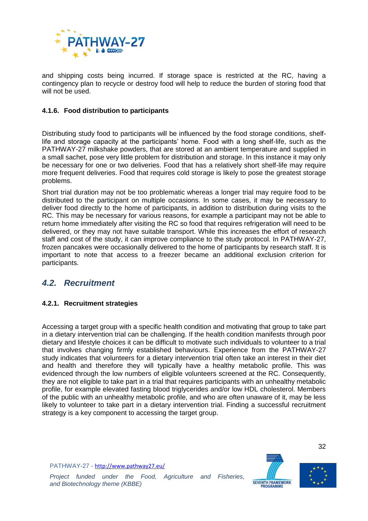

and shipping costs being incurred. If storage space is restricted at the RC, having a contingency plan to recycle or destroy food will help to reduce the burden of storing food that will not be used.

#### <span id="page-35-0"></span>**4.1.6. Food distribution to participants**

Distributing study food to participants will be influenced by the food storage conditions, shelflife and storage capacity at the participants' home. Food with a long shelf-life, such as the PATHWAY-27 milkshake powders, that are stored at an ambient temperature and supplied in a small sachet, pose very little problem for distribution and storage. In this instance it may only be necessary for one or two deliveries. Food that has a relatively short shelf-life may require more frequent deliveries. Food that requires cold storage is likely to pose the greatest storage problems.

Short trial duration may not be too problematic whereas a longer trial may require food to be distributed to the participant on multiple occasions. In some cases, it may be necessary to deliver food directly to the home of participants, in addition to distribution during visits to the RC. This may be necessary for various reasons, for example a participant may not be able to return home immediately after visiting the RC so food that requires refrigeration will need to be delivered, or they may not have suitable transport. While this increases the effort of research staff and cost of the study, it can improve compliance to the study protocol. In PATHWAY-27, frozen pancakes were occasionally delivered to the home of participants by research staff. It is important to note that access to a freezer became an additional exclusion criterion for participants.

## <span id="page-35-1"></span>*4.2. Recruitment*

## <span id="page-35-2"></span>**4.2.1. Recruitment strategies**

Accessing a target group with a specific health condition and motivating that group to take part in a dietary intervention trial can be challenging. If the health condition manifests through poor dietary and lifestyle choices it can be difficult to motivate such individuals to volunteer to a trial that involves changing firmly established behaviours. Experience from the PATHWAY-27 study indicates that volunteers for a dietary intervention trial often take an interest in their diet and health and therefore they will typically have a healthy metabolic profile. This was evidenced through the low numbers of eligible volunteers screened at the RC. Consequently, they are not eligible to take part in a trial that requires participants with an unhealthy metabolic profile, for example elevated fasting blood triglycerides and/or low HDL cholesterol. Members of the public with an unhealthy metabolic profile, and who are often unaware of it, may be less likely to volunteer to take part in a dietary intervention trial. Finding a successful recruitment strategy is a key component to accessing the target group.

PATHWAY-27 - <http://www.pathway27.eu/>





*Project funded under the Food, Agriculture and Fisheries, and Biotechnology theme (KBBE)*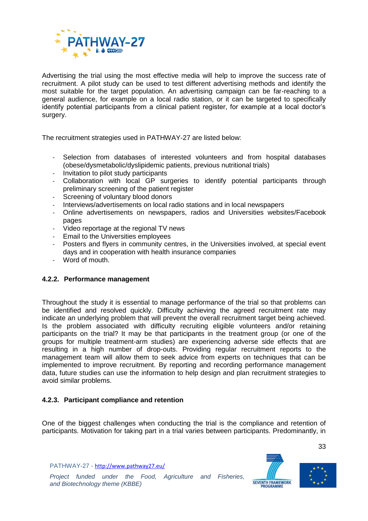

Advertising the trial using the most effective media will help to improve the success rate of recruitment. A pilot study can be used to test different advertising methods and identify the most suitable for the target population. An advertising campaign can be far-reaching to a general audience, for example on a local radio station, or it can be targeted to specifically identify potential participants from a clinical patient register, for example at a local doctor's surgery.

The recruitment strategies used in PATHWAY-27 are listed below:

- Selection from databases of interested volunteers and from hospital databases (obese/dysmetabolic/dyslipidemic patients, previous nutritional trials)
- Invitation to pilot study participants
- Collaboration with local GP surgeries to identify potential participants through preliminary screening of the patient register
- Screening of voluntary blood donors
- Interviews/advertisements on local radio stations and in local newspapers
- Online advertisements on newspapers, radios and Universities websites/Facebook pages
- Video reportage at the regional TV news
- Email to the Universities employees
- Posters and flyers in community centres, in the Universities involved, at special event days and in cooperation with health insurance companies
- Word of mouth.

#### <span id="page-36-0"></span>**4.2.2. Performance management**

Throughout the study it is essential to manage performance of the trial so that problems can be identified and resolved quickly. Difficulty achieving the agreed recruitment rate may indicate an underlying problem that will prevent the overall recruitment target being achieved. Is the problem associated with difficulty recruiting eligible volunteers and/or retaining participants on the trial? It may be that participants in the treatment group (or one of the groups for multiple treatment-arm studies) are experiencing adverse side effects that are resulting in a high number of drop-outs. Providing regular recruitment reports to the management team will allow them to seek advice from experts on techniques that can be implemented to improve recruitment. By reporting and recording performance management data, future studies can use the information to help design and plan recruitment strategies to avoid similar problems.

#### <span id="page-36-1"></span>**4.2.3. Participant compliance and retention**

One of the biggest challenges when conducting the trial is the compliance and retention of participants. Motivation for taking part in a trial varies between participants. Predominantly, in

PATHWAY-27 - <http://www.pathway27.eu/>



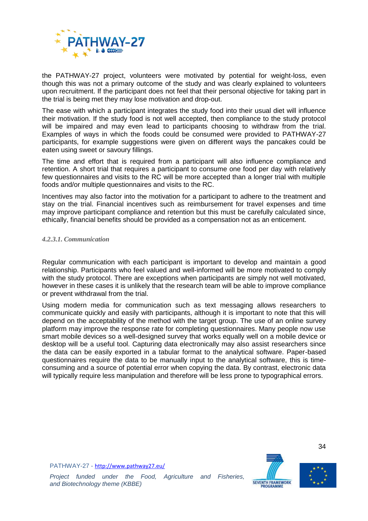

the PATHWAY-27 project, volunteers were motivated by potential for weight-loss, even though this was not a primary outcome of the study and was clearly explained to volunteers upon recruitment. If the participant does not feel that their personal objective for taking part in the trial is being met they may lose motivation and drop-out.

The ease with which a participant integrates the study food into their usual diet will influence their motivation. If the study food is not well accepted, then compliance to the study protocol will be impaired and may even lead to participants choosing to withdraw from the trial. Examples of ways in which the foods could be consumed were provided to PATHWAY-27 participants, for example suggestions were given on different ways the pancakes could be eaten using sweet or savoury fillings.

The time and effort that is required from a participant will also influence compliance and retention. A short trial that requires a participant to consume one food per day with relatively few questionnaires and visits to the RC will be more accepted than a longer trial with multiple foods and/or multiple questionnaires and visits to the RC.

Incentives may also factor into the motivation for a participant to adhere to the treatment and stay on the trial. Financial incentives such as reimbursement for travel expenses and time may improve participant compliance and retention but this must be carefully calculated since, ethically, financial benefits should be provided as a compensation not as an enticement.

#### *4.2.3.1. Communication*

Regular communication with each participant is important to develop and maintain a good relationship. Participants who feel valued and well-informed will be more motivated to comply with the study protocol. There are exceptions when participants are simply not well motivated, however in these cases it is unlikely that the research team will be able to improve compliance or prevent withdrawal from the trial.

Using modern media for communication such as text messaging allows researchers to communicate quickly and easily with participants, although it is important to note that this will depend on the acceptability of the method with the target group. The use of an online survey platform may improve the response rate for completing questionnaires. Many people now use smart mobile devices so a well-designed survey that works equally well on a mobile device or desktop will be a useful tool. Capturing data electronically may also assist researchers since the data can be easily exported in a tabular format to the analytical software. Paper-based questionnaires require the data to be manually input to the analytical software, this is timeconsuming and a source of potential error when copying the data. By contrast, electronic data will typically require less manipulation and therefore will be less prone to typographical errors.





34

PATHWAY-27 - <http://www.pathway27.eu/>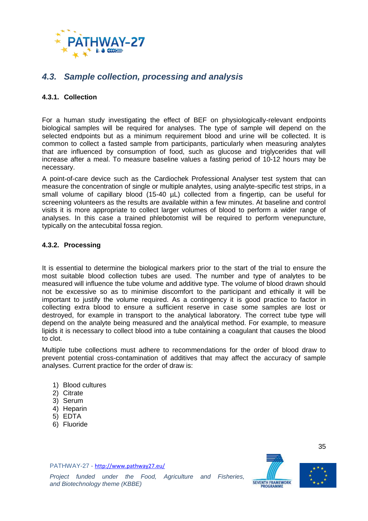

## <span id="page-38-0"></span>*4.3. Sample collection, processing and analysis*

### <span id="page-38-1"></span>**4.3.1. Collection**

For a human study investigating the effect of BEF on physiologically-relevant endpoints biological samples will be required for analyses. The type of sample will depend on the selected endpoints but as a minimum requirement blood and urine will be collected. It is common to collect a fasted sample from participants, particularly when measuring analytes that are influenced by consumption of food, such as glucose and triglycerides that will increase after a meal. To measure baseline values a fasting period of 10-12 hours may be necessary.

A point-of-care device such as the Cardiochek Professional Analyser test system that can measure the concentration of single or multiple analytes, using analyte-specific test strips, in a small volume of capillary blood  $(15-40 \mu)$  collected from a fingertip, can be useful for screening volunteers as the results are available within a few minutes. At baseline and control visits it is more appropriate to collect larger volumes of blood to perform a wider range of analyses. In this case a trained phlebotomist will be required to perform venepuncture, typically on the antecubital fossa region.

### <span id="page-38-2"></span>**4.3.2. Processing**

It is essential to determine the biological markers prior to the start of the trial to ensure the most suitable blood collection tubes are used. The number and type of analytes to be measured will influence the tube volume and additive type. The volume of blood drawn should not be excessive so as to minimise discomfort to the participant and ethically it will be important to justify the volume required. As a contingency it is good practice to factor in collecting extra blood to ensure a sufficient reserve in case some samples are lost or destroyed, for example in transport to the analytical laboratory. The correct tube type will depend on the analyte being measured and the analytical method. For example, to measure lipids it is necessary to collect blood into a tube containing a coagulant that causes the blood to clot.

Multiple tube collections must adhere to recommendations for the order of blood draw to prevent potential cross-contamination of additives that may affect the accuracy of sample analyses. Current practice for the order of draw is:

- 1) Blood cultures
- 2) Citrate
- 3) Serum
- 4) Heparin
- 5) EDTA
- 6) Fluoride

PATHWAY-27 - <http://www.pathway27.eu/>



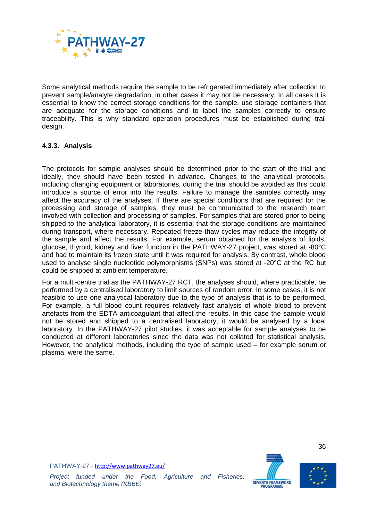

Some analytical methods require the sample to be refrigerated immediately after collection to prevent sample/analyte degradation, in other cases it may not be necessary. In all cases it is essential to know the correct storage conditions for the sample, use storage containers that are adequate for the storage conditions and to label the samples correctly to ensure traceability. This is why standard operation procedures must be established during trail design.

### <span id="page-39-0"></span>**4.3.3. Analysis**

The protocols for sample analyses should be determined prior to the start of the trial and ideally, they should have been tested in advance. Changes to the analytical protocols, including changing equipment or laboratories, during the trial should be avoided as this could introduce a source of error into the results. Failure to manage the samples correctly may affect the accuracy of the analyses. If there are special conditions that are required for the processing and storage of samples, they must be communicated to the research team involved with collection and processing of samples. For samples that are stored prior to being shipped to the analytical laboratory, it is essential that the storage conditions are maintained during transport, where necessary. Repeated freeze-thaw cycles may reduce the integrity of the sample and affect the results. For example, serum obtained for the analysis of lipids, glucose, thyroid, kidney and liver function in the PATHWAY-27 project, was stored at -80°C and had to maintain its frozen state until it was required for analysis. By contrast, whole blood used to analyse single nucleotide polymorphisms (SNPs) was stored at -20°C at the RC but could be shipped at ambient temperature.

For a multi-centre trial as the PATHWAY-27 RCT, the analyses should, where practicable, be performed by a centralised laboratory to limit sources of random error. In some cases, it is not feasible to use one analytical laboratory due to the type of analysis that is to be performed. For example, a full blood count requires relatively fast analysis of whole blood to prevent artefacts from the EDTA anticoagulant that affect the results. In this case the sample would not be stored and shipped to a centralised laboratory, it would be analysed by a local laboratory. In the PATHWAY-27 pilot studies, it was acceptable for sample analyses to be conducted at different laboratories since the data was not collated for statistical analysis. However, the analytical methods, including the type of sample used – for example serum or plasma, were the same.





36

PATHWAY-27 - <http://www.pathway27.eu/>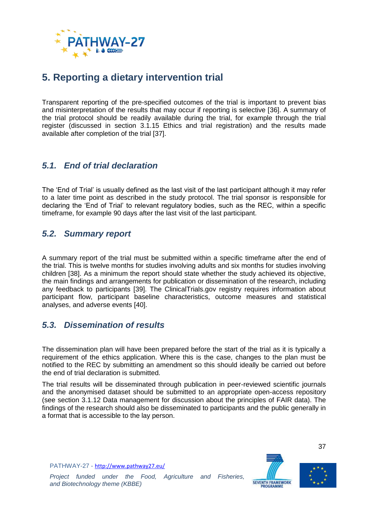

# <span id="page-40-0"></span>**5. Reporting a dietary intervention trial**

Transparent reporting of the pre-specified outcomes of the trial is important to prevent bias and misinterpretation of the results that may occur if reporting is selective [36]. A summary of the trial protocol should be readily available during the trial, for example through the trial register (discussed in section [3.1.15](#page-30-2) Ethics [and trial registration\)](#page-30-2) and the results made available after completion of the trial [37].

## <span id="page-40-1"></span>*5.1. End of trial declaration*

The 'End of Trial' is usually defined as the last visit of the last participant although it may refer to a later time point as described in the study protocol. The trial sponsor is responsible for declaring the 'End of Trial' to relevant regulatory bodies, such as the REC, within a specific timeframe, for example 90 days after the last visit of the last participant.

## <span id="page-40-2"></span>*5.2. Summary report*

A summary report of the trial must be submitted within a specific timeframe after the end of the trial. This is twelve months for studies involving adults and six months for studies involving children [38]. As a minimum the report should state whether the study achieved its objective, the main findings and arrangements for publication or dissemination of the research, including any feedback to participants [39]. The ClinicalTrials.gov registry requires information about participant flow, participant baseline characteristics, outcome measures and statistical analyses, and adverse events [40].

## <span id="page-40-3"></span>*5.3. Dissemination of results*

The dissemination plan will have been prepared before the start of the trial as it is typically a requirement of the ethics application. Where this is the case, changes to the plan must be notified to the REC by submitting an amendment so this should ideally be carried out before the end of trial declaration is submitted.

The trial results will be disseminated through publication in peer-reviewed scientific journals and the anonymised dataset should be submitted to an appropriate open-access repository (see section [3.1.12](#page-29-0) [Data management](#page-29-0) for discussion about the principles of FAIR data). The findings of the research should also be disseminated to participants and the public generally in a format that is accessible to the lay person.

PATHWAY-27 - <http://www.pathway27.eu/>



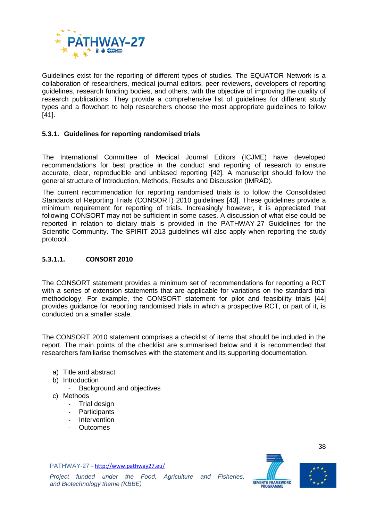

Guidelines exist for the reporting of different types of studies. The EQUATOR Network is a collaboration of researchers, medical journal editors, peer reviewers, developers of reporting guidelines, research funding bodies, and others, with the objective of improving the quality of research publications. They provide a comprehensive list of guidelines for different study types and a flowchart to help researchers choose the most appropriate guidelines to follow [41].

#### <span id="page-41-0"></span>**5.3.1. Guidelines for reporting randomised trials**

The International Committee of Medical Journal Editors (ICJME) have developed recommendations for best practice in the conduct and reporting of research to ensure accurate, clear, reproducible and unbiased reporting [42]. A manuscript should follow the general structure of Introduction, Methods, Results and Discussion (IMRAD).

The current recommendation for reporting randomised trials is to follow the Consolidated Standards of Reporting Trials (CONSORT) 2010 guidelines [43]. These guidelines provide a minimum requirement for reporting of trials. Increasingly however, it is appreciated that following CONSORT may not be sufficient in some cases. A discussion of what else could be reported in relation to dietary trials is provided in the PATHWAY-27 Guidelines for the Scientific Community. The SPIRIT 2013 guidelines will also apply when reporting the study protocol.

#### **5.3.1.1. CONSORT 2010**

The CONSORT statement provides a minimum set of recommendations for reporting a RCT with a series of extension statements that are applicable for variations on the standard trial methodology. For example, the CONSORT statement for pilot and feasibility trials [44] provides guidance for reporting randomised trials in which a prospective RCT, or part of it, is conducted on a smaller scale.

The CONSORT 2010 statement comprises a checklist of items that should be included in the report. The main points of the checklist are summarised below and it is recommended that researchers familiarise themselves with the statement and its supporting documentation.

- a) Title and abstract
- b) Introduction
	- Background and objectives
- c) Methods
	- Trial design
	- **Participants**
	- **Intervention**
	- **Outcomes**

PATHWAY-27 - <http://www.pathway27.eu/>



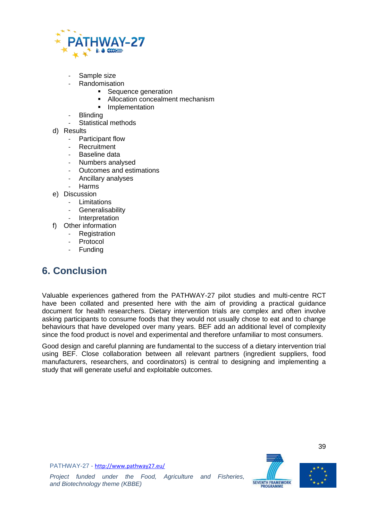

- Sample size
- **Randomisation** 
	- **Sequence generation**
	- Allocation concealment mechanism
	- **Implementation**
- **Blinding**
- Statistical methods
- d) Results
	- Participant flow
	- **Recruitment**
	- Baseline data
	- Numbers analysed
	- Outcomes and estimations
	- Ancillary analyses
	- **Harms**
- e) Discussion
	- Limitations
	- **Generalisability**
	- **Interpretation**
- f) Other information
	- Registration
	- Protocol
	- **Funding**

# <span id="page-42-0"></span>**6. Conclusion**

Valuable experiences gathered from the PATHWAY-27 pilot studies and multi-centre RCT have been collated and presented here with the aim of providing a practical guidance document for health researchers. Dietary intervention trials are complex and often involve asking participants to consume foods that they would not usually chose to eat and to change behaviours that have developed over many years. BEF add an additional level of complexity since the food product is novel and experimental and therefore unfamiliar to most consumers.

Good design and careful planning are fundamental to the success of a dietary intervention trial using BEF. Close collaboration between all relevant partners (ingredient suppliers, food manufacturers, researchers, and coordinators) is central to designing and implementing a study that will generate useful and exploitable outcomes.





39

PATHWAY-27 - <http://www.pathway27.eu/>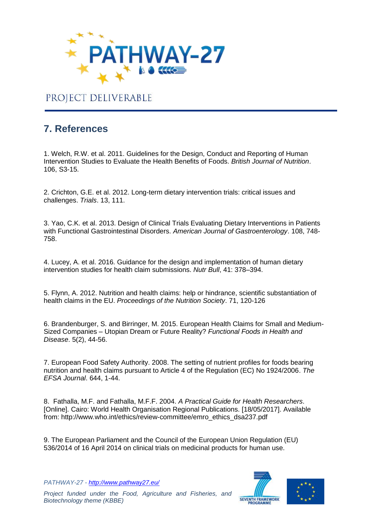

# PROJECT DELIVERABLE

# <span id="page-43-0"></span>**7. References**

1. Welch, R.W. et al. 2011. Guidelines for the Design, Conduct and Reporting of Human Intervention Studies to Evaluate the Health Benefits of Foods. *British Journal of Nutrition*. 106, S3-15.

2. Crichton, G.E. et al. 2012. Long-term dietary intervention trials: critical issues and challenges. *Trials*. 13, 111.

3. Yao, C.K. et al. 2013. Design of Clinical Trials Evaluating Dietary Interventions in Patients with Functional Gastrointestinal Disorders. *American Journal of Gastroenterology*. 108, 748- 758.

4. Lucey, A. et al. 2016. Guidance for the design and implementation of human dietary intervention studies for health claim submissions. *Nutr Bull*, 41: 378–394.

5. Flynn, A. 2012. Nutrition and health claims: help or hindrance, scientific substantiation of health claims in the EU. *Proceedings of the Nutrition Society*. 71, 120-126

6. Brandenburger, S. and Birringer, M. 2015. European Health Claims for Small and Medium-Sized Companies – Utopian Dream or Future Reality? *Functional Foods in Health and Disease*. 5(2), 44-56.

7. European Food Safety Authority. 2008. The setting of nutrient profiles for foods bearing nutrition and health claims pursuant to Article 4 of the Regulation (EC) No 1924/2006. *The EFSA Journal*. 644, 1-44.

8. Fathalla, M.F. and Fathalla, M.F.F. 2004. *A Practical Guide for Health Researchers*. [Online]. Cairo: World Health Organisation Regional Publications. [18/05/2017]. Available from: http://www.who.int/ethics/review-committee/emro\_ethics\_dsa237.pdf

9. The European Parliament and the Council of the European Union Regulation (EU) 536/2014 of 16 April 2014 on clinical trials on medicinal products for human use.

*PATHWAY-27 - <http://www.pathway27.eu/>*



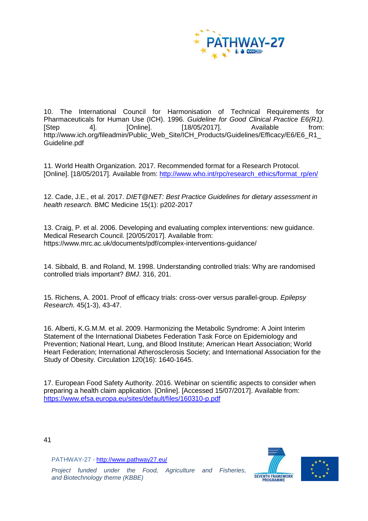

10. The International Council for Harmonisation of Technical Requirements for Pharmaceuticals for Human Use (ICH). 1996. *Guideline for Good Clinical Practice E6(R1).* [Step 4]. [Online]. [18/05/2017]. Available from: http://www.ich.org/fileadmin/Public\_Web\_Site/ICH\_Products/Guidelines/Efficacy/E6/E6\_R1 Guideline.pdf

11. World Health Organization. 2017. Recommended format for a Research Protocol. [Online]. [18/05/2017]. Available from: [http://www.who.int/rpc/research\\_ethics/format\\_rp/en/](http://www.who.int/rpc/research_ethics/format_rp/en/)

12. Cade, J.E., et al. 2017. *DIET@NET: Best Practice Guidelines for dietary assessment in health research.* BMC Medicine 15(1): p202-2017

13. Craig, P. et al. 2006. Developing and evaluating complex interventions: new guidance. Medical Research Council. [20/05/2017]. Available from: https://www.mrc.ac.uk/documents/pdf/complex-interventions-guidance/

14. Sibbald, B. and Roland, M. 1998. Understanding controlled trials: Why are randomised controlled trials important? *BMJ*. 316, 201.

15. Richens, A. 2001. Proof of efficacy trials: cross-over versus parallel-group. *Epilepsy Research*. 45(1-3), 43-47.

16. Alberti, K.G.M.M. et al. 2009. Harmonizing the Metabolic Syndrome: A Joint Interim Statement of the International Diabetes Federation Task Force on Epidemiology and Prevention; National Heart, Lung, and Blood Institute; American Heart Association; World Heart Federation; International Atherosclerosis Society; and International Association for the Study of Obesity. Circulation 120(16): 1640-1645.

17. European Food Safety Authority. 2016. Webinar on scientific aspects to consider when preparing a health claim application. [Online]. [Accessed 15/07/2017]. Available from: <https://www.efsa.europa.eu/sites/default/files/160310-p.pdf>

41

PATHWAY-27 - <http://www.pathway27.eu/>

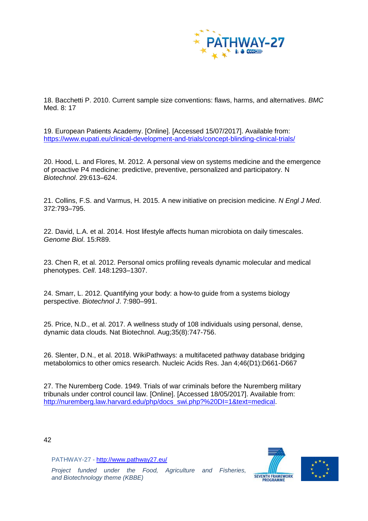

18. Bacchetti P. 2010. Current sample size conventions: flaws, harms, and alternatives. *BMC* Med. 8: 17

19. European Patients Academy. [Online]. [Accessed 15/07/2017]. Available from: <https://www.eupati.eu/clinical-development-and-trials/concept-blinding-clinical-trials/>

20. Hood, L. and Flores, M. 2012. A personal view on systems medicine and the emergence of proactive P4 medicine: predictive, preventive, personalized and participatory. N *Biotechnol*. 29:613–624.

21. Collins, F.S. and Varmus, H. 2015. A new initiative on precision medicine. *N Engl J Med*. 372:793–795.

22. David, L.A. et al. 2014. Host lifestyle affects human microbiota on daily timescales. *Genome Biol*. 15:R89.

23. Chen R, et al. 2012. Personal omics profiling reveals dynamic molecular and medical phenotypes. *Cell*. 148:1293–1307.

24. Smarr, L. 2012. Quantifying your body: a how-to guide from a systems biology perspective. *Biotechnol J*. 7:980–991.

25. Price, N.D., et al. 2017. A wellness study of 108 individuals using personal, dense, dynamic data clouds. Nat Biotechnol. Aug;35(8):747-756.

26. Slenter, D.N., et al. 2018. WikiPathways: a multifaceted pathway database bridging metabolomics to other omics research. Nucleic Acids Res. Jan 4;46(D1):D661-D667

27. The Nuremberg Code. 1949. Trials of war criminals before the Nuremberg military tribunals under control council law. [Online]. [Accessed 18/05/2017]. Available from: [http://nuremberg.law.harvard.edu/php/docs\\_swi.php?%20DI=1&text=medical.](http://nuremberg.law.harvard.edu/php/docs_swi.php?%20DI=1&text=medical)

42

PATHWAY-27 - <http://www.pathway27.eu/>

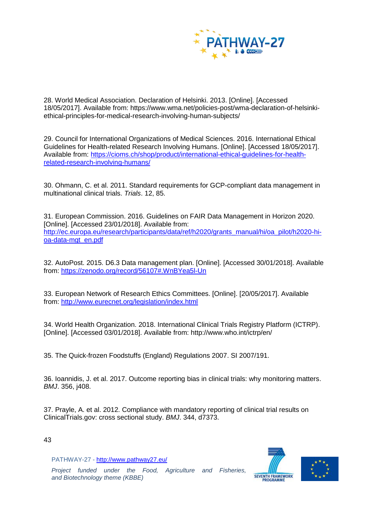

28. World Medical Association. Declaration of Helsinki. 2013. [Online]. [Accessed 18/05/2017]. Available from: https://www.wma.net/policies-post/wma-declaration-of-helsinkiethical-principles-for-medical-research-involving-human-subjects/

29. Council for International Organizations of Medical Sciences. 2016. International Ethical Guidelines for Health-related Research Involving Humans. [Online]. [Accessed 18/05/2017]. Available from: [https://cioms.ch/shop/product/international-ethical-guidelines-for-health](https://cioms.ch/shop/product/international-ethical-guidelines-for-health-related-research-involving-humans/)[related-research-involving-humans/](https://cioms.ch/shop/product/international-ethical-guidelines-for-health-related-research-involving-humans/)

30. Ohmann, C. et al. 2011. Standard requirements for GCP-compliant data management in multinational clinical trials. *Trials*. 12, 85.

31. European Commission. 2016. Guidelines on FAIR Data Management in Horizon 2020. [Online]. [Accessed 23/01/2018]. Available from: [http://ec.europa.eu/research/participants/data/ref/h2020/grants\\_manual/hi/oa\\_pilot/h2020-hi](http://ec.europa.eu/research/participants/data/ref/h2020/grants_manual/hi/oa_pilot/h2020-hi-oa-data-mgt_en.pdf)[oa-data-mgt\\_en.pdf](http://ec.europa.eu/research/participants/data/ref/h2020/grants_manual/hi/oa_pilot/h2020-hi-oa-data-mgt_en.pdf)

32. AutoPost. 2015. D6.3 Data management plan. [Online]. [Accessed 30/01/2018]. Available from:<https://zenodo.org/record/56107#.WnBYea5l-Un>

33. European Network of Research Ethics Committees. [Online]. [20/05/2017]. Available from:<http://www.eurecnet.org/legislation/index.html>

34. World Health Organization. 2018. International Clinical Trials Registry Platform (ICTRP). [Online]. [Accessed 03/01/2018]. Available from: http://www.who.int/ictrp/en/

35. The Quick-frozen Foodstuffs (England) Regulations 2007. SI 2007/191.

36. Ioannidis, J. et al. 2017. Outcome reporting bias in clinical trials: why monitoring matters. *BMJ*. 356, j408.

37. Prayle, A. et al. 2012. Compliance with mandatory reporting of clinical trial results on ClinicalTrials.gov: cross sectional study. *BMJ*. 344, d7373.

43

PATHWAY-27 - <http://www.pathway27.eu/>

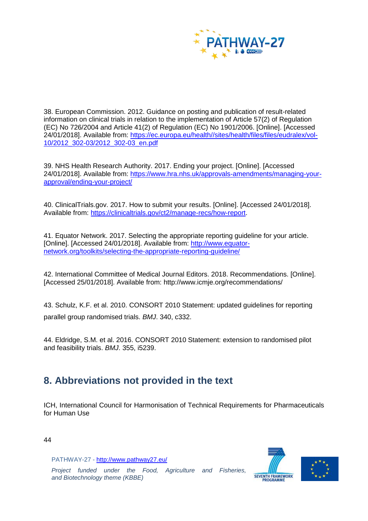

38. European Commission. 2012. Guidance on posting and publication of result-related information on clinical trials in relation to the implementation of Article 57(2) of Regulation (EC) No 726/2004 and Article 41(2) of Regulation (EC) No 1901/2006. [Online]. [Accessed 24/01/2018]. Available from: [https://ec.europa.eu/health//sites/health/files/files/eudralex/vol-](https://ec.europa.eu/health/sites/health/files/files/eudralex/vol-10/2012_302-03/2012_302-03_en.pdf)[10/2012\\_302-03/2012\\_302-03\\_en.pdf](https://ec.europa.eu/health/sites/health/files/files/eudralex/vol-10/2012_302-03/2012_302-03_en.pdf)

39. NHS Health Research Authority. 2017. Ending your project. [Online]. [Accessed 24/01/2018]. Available from: [https://www.hra.nhs.uk/approvals-amendments/managing-your](https://www.hra.nhs.uk/approvals-amendments/managing-your-approval/ending-your-project/)[approval/ending-your-project/](https://www.hra.nhs.uk/approvals-amendments/managing-your-approval/ending-your-project/)

40. ClinicalTrials.gov. 2017. How to submit your results. [Online]. [Accessed 24/01/2018]. Available from: [https://clinicaltrials.gov/ct2/manage-recs/how-report.](https://clinicaltrials.gov/ct2/manage-recs/how-report)

41. Equator Network. 2017. Selecting the appropriate reporting guideline for your article. [Online]. [Accessed 24/01/2018]. Available from: [http://www.equator](http://www.equator-network.org/toolkits/selecting-the-appropriate-reporting-guideline/)[network.org/toolkits/selecting-the-appropriate-reporting-guideline/](http://www.equator-network.org/toolkits/selecting-the-appropriate-reporting-guideline/)

42. International Committee of Medical Journal Editors. 2018. Recommendations. [Online]. [Accessed 25/01/2018]. Available from: http://www.icmje.org/recommendations/

43. Schulz, K.F. et al. 2010. CONSORT 2010 Statement: updated guidelines for reporting parallel group randomised trials. *BMJ*. 340, c332.

44. Eldridge, S.M. et al. 2016. CONSORT 2010 Statement: extension to randomised pilot and feasibility trials. *BMJ*. 355, i5239.

# <span id="page-47-0"></span>**8. Abbreviations not provided in the text**

ICH, International Council for Harmonisation of Technical Requirements for Pharmaceuticals for Human Use

44

PATHWAY-27 - <http://www.pathway27.eu/>